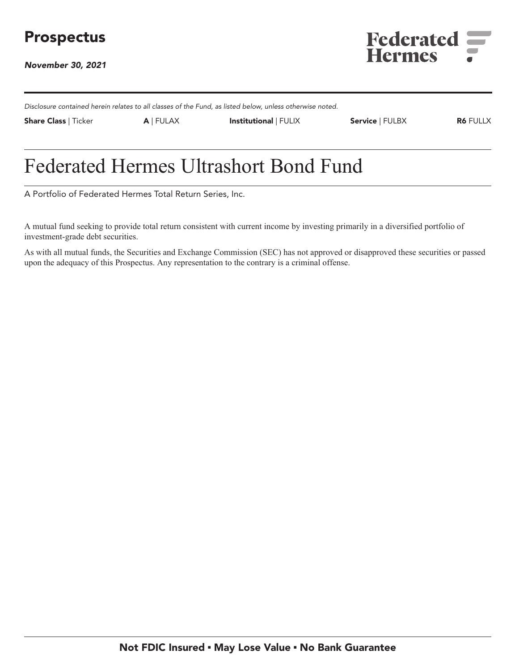

**November 30, 2021**



**Disclosure contained herein relates to all classes of the Fund, as listed below, unless otherwise noted.**

**Share Class | Ticker A | FULAX Institutional | FULIX Service | FULBX R6 FULLX**

# **Federated Hermes Ultrashort Bond Fund**

**A Portfolio of Federated Hermes Total Return Series, Inc.**

**A mutual fund seeking to provide total return consistent with current income by investing primarily in a diversified portfolio of investment-grade debt securities.**

**As with all mutual funds, the Securities and Exchange Commission (SEC) has not approved or disapproved these securities or passed upon the adequacy of this Prospectus. Any representation to the contrary is a criminal offense.**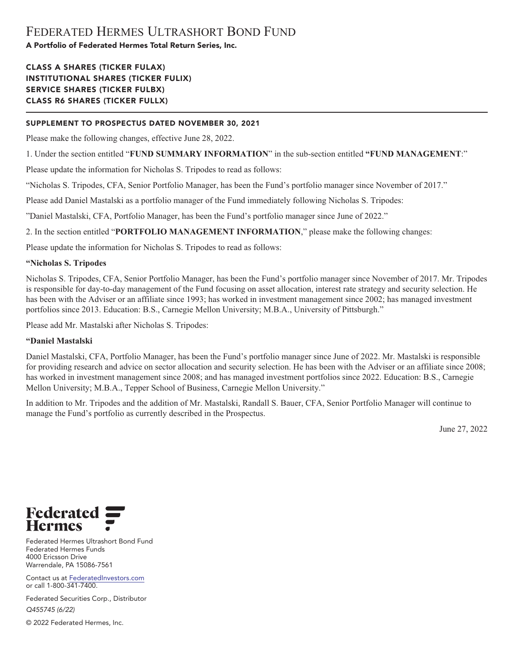# **CLASS A SHARES (TICKER FULAX) INSTITUTIONAL SHARES (TICKER FULIX) SERVICE SHARES (TICKER FULBX) CLASS R6 SHARES (TICKER FULLX)**

# **SUPPLEMENT TO PROSPECTUS DATED NOVEMBER 30, 2021**

**Please make the following changes, effective June 28, 2022.**

**1. Under the section entitled "FUND SUMMARY INFORMATION" in the sub-section entitled "FUND MANAGEMENT:"**

**Please update the information for Nicholas S. Tripodes to read as follows:**

**"Nicholas S. Tripodes, CFA, Senior Portfolio Manager, has been the Fund's portfolio manager since November of 2017."**

**Please add Daniel Mastalski as a portfolio manager of the Fund immediately following Nicholas S. Tripodes:**

**"Daniel Mastalski, CFA, Portfolio Manager, has been the Fund's portfolio manager since June of 2022."**

**2. In the section entitled "PORTFOLIO MANAGEMENT INFORMATION," please make the following changes:**

**Please update the information for Nicholas S. Tripodes to read as follows:**

# **"Nicholas S. Tripodes**

**Nicholas S. Tripodes, CFA, Senior Portfolio Manager, has been the Fund's portfolio manager since November of 2017. Mr. Tripodes is responsible for day-to-day management of the Fund focusing on asset allocation, interest rate strategy and security selection. He has been with the Adviser or an affiliate since 1993; has worked in investment management since 2002; has managed investment portfolios since 2013. Education: B.S., Carnegie Mellon University; M.B.A., University of Pittsburgh."**

**Please add Mr. Mastalski after Nicholas S. Tripodes:**

# **"Daniel Mastalski**

**Daniel Mastalski, CFA, Portfolio Manager, has been the Fund's portfolio manager since June of 2022. Mr. Mastalski is responsible for providing research and advice on sector allocation and security selection. He has been with the Adviser or an affiliate since 2008; has worked in investment management since 2008; and has managed investment portfolios since 2022. Education: B.S., Carnegie Mellon University; M.B.A., Tepper School of Business, Carnegie Mellon University."**

**In addition to Mr. Tripodes and the addition of Mr. Mastalski, Randall S. Bauer, CFA, Senior Portfolio Manager will continue to manage the Fund's portfolio as currently described in the Prospectus.**

**June 27, 2022**



**Federated Hermes Ultrashort Bond Fund Federated Hermes Funds 4000 Ericsson Drive Warrendale, PA 15086-7561**

**Contact us at [FederatedInvestors.com](https://www.federatedinvestors.com/home.do) or call 1-800-341-7400.**

**Federated Securities Corp., Distributor Q455745 (6/22)**

**© 2022 Federated Hermes, Inc.**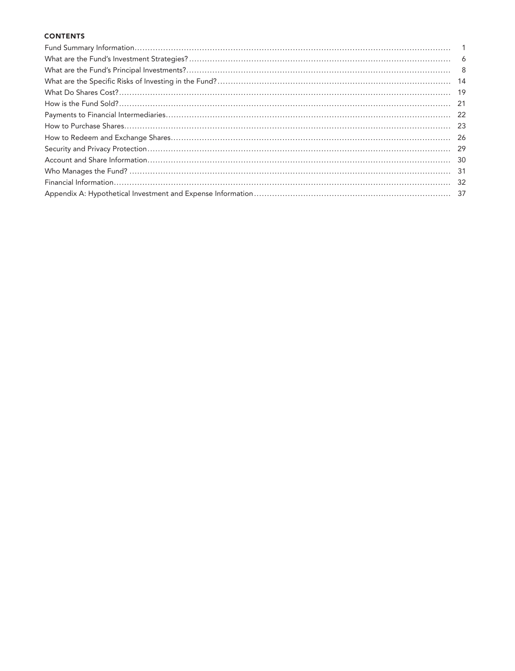# **CONTENTS**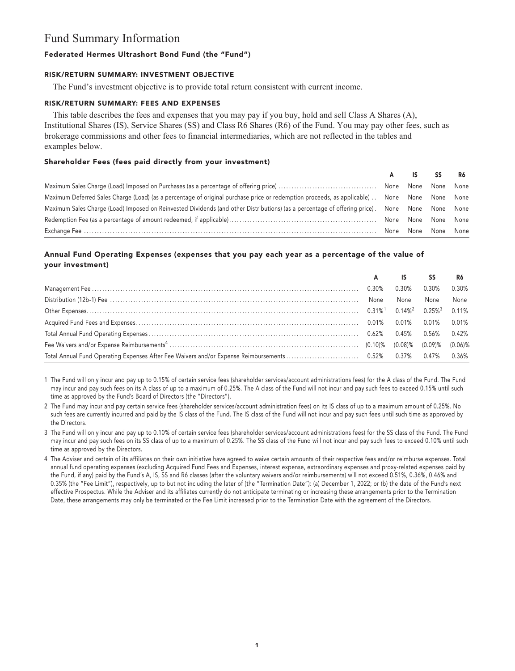# **Fund Summary Information**

# **Federated Hermes Ultrashort Bond Fund (the "Fund")**

#### **RISK/RETURN SUMMARY: INVESTMENT OBJECTIVE**

**The Fund's investment objective is to provide total return consistent with current income.**

#### **RISK/RETURN SUMMARY: FEES AND EXPENSES**

**This table describes the fees and expenses that you may pay if you buy, hold and sell Class A Shares (A), Institutional Shares (IS), Service Shares (SS) and Class R6 Shares (R6) of the Fund. You may pay other fees, such as brokerage commissions and other fees to financial intermediaries, which are not reflected in the tables and examples below.**

### **Shareholder Fees (fees paid directly from your investment)**

|                                                                                                                                                |  | A IS SS R6          |  |
|------------------------------------------------------------------------------------------------------------------------------------------------|--|---------------------|--|
|                                                                                                                                                |  |                     |  |
| Maximum Deferred Sales Charge (Load) (as a percentage of original purchase price or redemption proceeds, as applicable)  None None None None   |  |                     |  |
| Maximum Sales Charge (Load) Imposed on Reinvested Dividends (and other Distributions) (as a percentage of offering price). None None None None |  |                     |  |
|                                                                                                                                                |  |                     |  |
|                                                                                                                                                |  | None None None None |  |

# **Annual Fund Operating Expenses (expenses that you pay each year as a percentage of the value of your investment)**

|  | A IS SS |          | R6    |
|--|---------|----------|-------|
|  | 0.30%   | $0.30\%$ | 0.30% |
|  | None    | None     | None  |
|  |         |          |       |
|  |         |          |       |
|  |         |          |       |
|  |         |          |       |
|  |         |          |       |

**1 The Fund will only incur and pay up to 0.15% of certain service fees (shareholder services/account administrations fees) for the A class of the Fund. The Fund may incur and pay such fees on its A class of up to a maximum of 0.25%. The A class of the Fund will not incur and pay such fees to exceed 0.15% until such time as approved by the Fund's Board of Directors (the "Directors").**

**2 The Fund may incur and pay certain service fees (shareholder services/account administration fees) on its IS class of up to a maximum amount of 0.25%. No such fees are currently incurred and paid by the IS class of the Fund. The IS class of the Fund will not incur and pay such fees until such time as approved by the Directors.**

**3 The Fund will only incur and pay up to 0.10% of certain service fees (shareholder services/account administrations fees) for the SS class of the Fund. The Fund may incur and pay such fees on its SS class of up to a maximum of 0.25%. The SS class of the Fund will not incur and pay such fees to exceed 0.10% until such time as approved by the Directors.**

**4 The Adviser and certain of its affiliates on their own initiative have agreed to waive certain amounts of their respective fees and/or reimburse expenses. Total annual fund operating expenses (excluding Acquired Fund Fees and Expenses, interest expense, extraordinary expenses and proxy-related expenses paid by the Fund, if any) paid by the Fund's A, IS, SS and R6 classes (after the voluntary waivers and/or reimbursements) will not exceed 0.51%, 0.36%, 0.46% and 0.35% (the "Fee Limit"), respectively, up to but not including the later of (the "Termination Date"): (a) December 1, 2022; or (b) the date of the Fund's next effective Prospectus. While the Adviser and its affiliates currently do not anticipate terminating or increasing these arrangements prior to the Termination Date, these arrangements may only be terminated or the Fee Limit increased prior to the Termination Date with the agreement of the Directors.**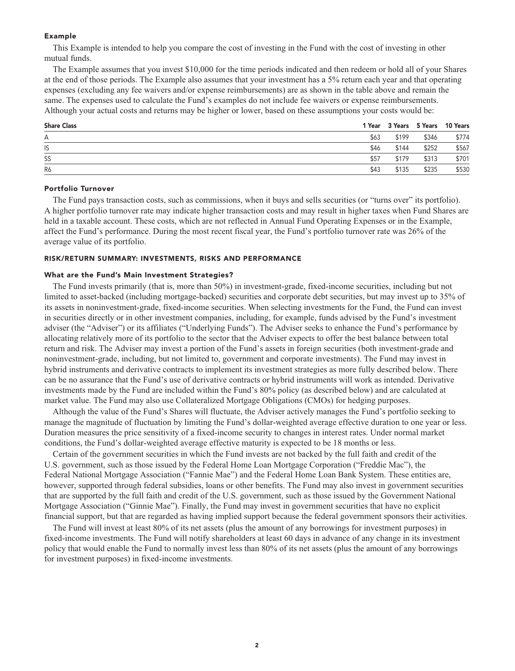#### **Example**

**This Example is intended to help you compare the cost of investing in the Fund with the cost of investing in other mutual funds.**

**The Example assumes that you invest \$10,000 for the time periods indicated and then redeem or hold all of your Shares at the end of those periods. The Example also assumes that your investment has a 5% return each year and that operating expenses (excluding any fee waivers and/or expense reimbursements) are as shown in the table above and remain the same. The expenses used to calculate the Fund's examples do not include fee waivers or expense reimbursements. Although your actual costs and returns may be higher or lower, based on these assumptions your costs would be:**

| <b>Share Class</b> |      |       |       | 1 Year 3 Years 5 Years 10 Years |
|--------------------|------|-------|-------|---------------------------------|
| Α                  | \$63 | \$199 | \$346 | \$774                           |
| IS                 | \$46 | \$144 | \$252 | \$567                           |
| SS                 | \$57 | \$179 | \$313 | \$701                           |
| R6                 | \$43 | \$135 | \$235 | \$530                           |

### **Portfolio Turnover**

**The Fund pays transaction costs, such as commissions, when it buys and sells securities (or "turns over" its portfolio). A higher portfolio turnover rate may indicate higher transaction costs and may result in higher taxes when Fund Shares are held in a taxable account. These costs, which are not reflected in Annual Fund Operating Expenses or in the Example, affect the Fund's performance. During the most recent fiscal year, the Fund's portfolio turnover rate was 26% of the average value of its portfolio.**

#### **RISK/RETURN SUMMARY: INVESTMENTS, RISKS AND PERFORMANCE**

#### **What are the Fund's Main Investment Strategies?**

**The Fund invests primarily (that is, more than 50%) in investment-grade, fixed-income securities, including but not limited to asset-backed (including mortgage-backed) securities and corporate debt securities, but may invest up to 35% of its assets in noninvestment-grade, fixed-income securities. When selecting investments for the Fund, the Fund can invest in securities directly or in other investment companies, including, for example, funds advised by the Fund's investment adviser (the "Adviser") or its affiliates ("Underlying Funds"). The Adviser seeks to enhance the Fund's performance by allocating relatively more of its portfolio to the sector that the Adviser expects to offer the best balance between total return and risk. The Adviser may invest a portion of the Fund's assets in foreign securities (both investment-grade and noninvestment-grade, including, but not limited to, government and corporate investments). The Fund may invest in hybrid instruments and derivative contracts to implement its investment strategies as more fully described below. There can be no assurance that the Fund's use of derivative contracts or hybrid instruments will work as intended. Derivative investments made by the Fund are included within the Fund's 80% policy (as described below) and are calculated at market value. The Fund may also use Collateralized Mortgage Obligations (CMOs) for hedging purposes.**

**Although the value of the Fund's Shares will fluctuate, the Adviser actively manages the Fund's portfolio seeking to manage the magnitude of fluctuation by limiting the Fund's dollar-weighted average effective duration to one year or less. Duration measures the price sensitivity of a fixed-income security to changes in interest rates. Under normal market conditions, the Fund's dollar-weighted average effective maturity is expected to be 18 months or less.**

**Certain of the government securities in which the Fund invests are not backed by the full faith and credit of the U.S. government, such as those issued by the Federal Home Loan Mortgage Corporation ("Freddie Mac"), the Federal National Mortgage Association ("Fannie Mae") and the Federal Home Loan Bank System. These entities are, however, supported through federal subsidies, loans or other benefits. The Fund may also invest in government securities that are supported by the full faith and credit of the U.S. government, such as those issued by the Government National Mortgage Association ("Ginnie Mae"). Finally, the Fund may invest in government securities that have no explicit financial support, but that are regarded as having implied support because the federal government sponsors their activities.**

**The Fund will invest at least 80% of its net assets (plus the amount of any borrowings for investment purposes) in fixed-income investments. The Fund will notify shareholders at least 60 days in advance of any change in its investment policy that would enable the Fund to normally invest less than 80% of its net assets (plus the amount of any borrowings for investment purposes) in fixed-income investments.**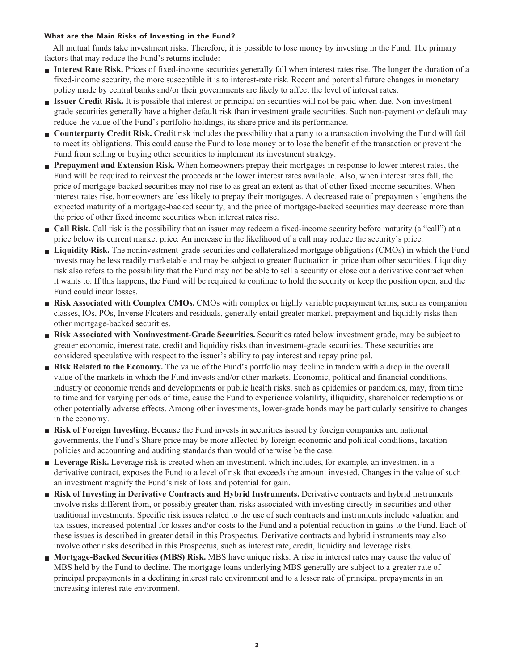### **What are the Main Risks of Investing in the Fund?**

**All mutual funds take investment risks. Therefore, it is possible to lose money by investing in the Fund. The primary factors that may reduce the Fund's returns include:**

- **■ Interest Rate Risk. Prices of fixed-income securities generally fall when interest rates rise. The longer the duration of a fixed-income security, the more susceptible it is to interest-rate risk. Recent and potential future changes in monetary policy made by central banks and/or their governments are likely to affect the level of interest rates.**
- **■ Issuer Credit Risk. It is possible that interest or principal on securities will not be paid when due. Non-investment grade securities generally have a higher default risk than investment grade securities. Such non-payment or default may reduce the value of the Fund's portfolio holdings, its share price and its performance.**
- **Counterparty Credit Risk.** Credit risk includes the possibility that a party to a transaction involving the Fund will fail **to meet its obligations. This could cause the Fund to lose money or to lose the benefit of the transaction or prevent the Fund from selling or buying other securities to implement its investment strategy.**
- **Prepayment and Extension Risk.** When homeowners prepay their mortgages in response to lower interest rates, the **Fund will be required to reinvest the proceeds at the lower interest rates available. Also, when interest rates fall, the price of mortgage-backed securities may not rise to as great an extent as that of other fixed-income securities. When interest rates rise, homeowners are less likely to prepay their mortgages. A decreased rate of prepayments lengthens the expected maturity of a mortgage-backed security, and the price of mortgage-backed securities may decrease more than the price of other fixed income securities when interest rates rise.**
- **Call Risk.** Call risk is the possibility that an issuer may redeem a fixed-income security before maturity (a "call") at a **price below its current market price. An increase in the likelihood of a call may reduce the security's price.**
- **■ Liquidity Risk. The noninvestment-grade securities and collateralized mortgage obligations (CMOs) in which the Fund invests may be less readily marketable and may be subject to greater fluctuation in price than other securities. Liquidity risk also refers to the possibility that the Fund may not be able to sell a security or close out a derivative contract when it wants to. If this happens, the Fund will be required to continue to hold the security or keep the position open, and the Fund could incur losses.**
- **Risk Associated with Complex CMOs.** CMOs with complex or highly variable prepayment terms, such as companion **classes, IOs, POs, Inverse Floaters and residuals, generally entail greater market, prepayment and liquidity risks than other mortgage-backed securities.**
- **■ Risk Associated with Noninvestment-Grade Securities. Securities rated below investment grade, may be subject to greater economic, interest rate, credit and liquidity risks than investment-grade securities. These securities are considered speculative with respect to the issuer's ability to pay interest and repay principal.**
- **Risk Related to the Economy.** The value of the Fund's portfolio may decline in tandem with a drop in the overall **value of the markets in which the Fund invests and/or other markets. Economic, political and financial conditions, industry or economic trends and developments or public health risks, such as epidemics or pandemics, may, from time to time and for varying periods of time, cause the Fund to experience volatility, illiquidity, shareholder redemptions or other potentially adverse effects. Among other investments, lower-grade bonds may be particularly sensitive to changes in the economy.**
- **Risk of Foreign Investing.** Because the Fund invests in securities issued by foreign companies and national **governments, the Fund's Share price may be more affected by foreign economic and political conditions, taxation policies and accounting and auditing standards than would otherwise be the case.**
- **■ Leverage Risk. Leverage risk is created when an investment, which includes, for example, an investment in a derivative contract, exposes the Fund to a level of risk that exceeds the amount invested. Changes in the value of such an investment magnify the Fund's risk of loss and potential for gain.**
- **■ Risk of Investing in Derivative Contracts and Hybrid Instruments. Derivative contracts and hybrid instruments involve risks different from, or possibly greater than, risks associated with investing directly in securities and other traditional investments. Specific risk issues related to the use of such contracts and instruments include valuation and tax issues, increased potential for losses and/or costs to the Fund and a potential reduction in gains to the Fund. Each of these issues is described in greater detail in this Prospectus. Derivative contracts and hybrid instruments may also involve other risks described in this Prospectus, such as interest rate, credit, liquidity and leverage risks.**
- **■ Mortgage-Backed Securities (MBS) Risk. MBS have unique risks. A rise in interest rates may cause the value of MBS held by the Fund to decline. The mortgage loans underlying MBS generally are subject to a greater rate of principal prepayments in a declining interest rate environment and to a lesser rate of principal prepayments in an increasing interest rate environment.**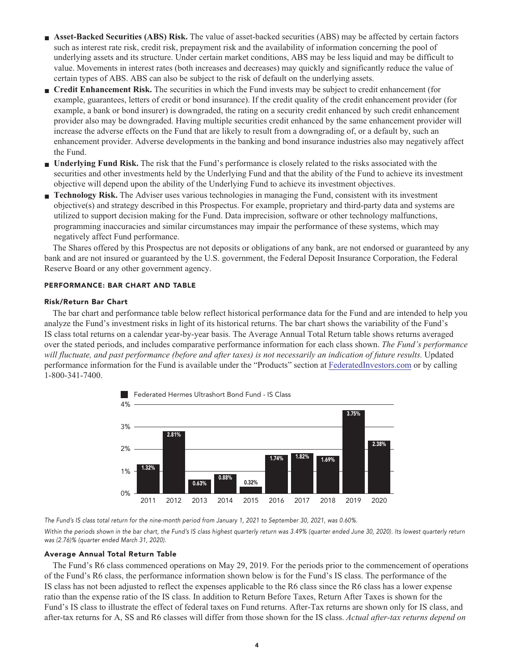- **■ Asset-Backed Securities (ABS) Risk. The value of asset-backed securities (ABS) may be affected by certain factors such as interest rate risk, credit risk, prepayment risk and the availability of information concerning the pool of underlying assets and its structure. Under certain market conditions, ABS may be less liquid and may be difficult to value. Movements in interest rates (both increases and decreases) may quickly and significantly reduce the value of certain types of ABS. ABS can also be subject to the risk of default on the underlying assets.**
- **■ Credit Enhancement Risk. The securities in which the Fund invests may be subject to credit enhancement (for example, guarantees, letters of credit or bond insurance). If the credit quality of the credit enhancement provider (for example, a bank or bond insurer) is downgraded, the rating on a security credit enhanced by such credit enhancement provider also may be downgraded. Having multiple securities credit enhanced by the same enhancement provider will increase the adverse effects on the Fund that are likely to result from a downgrading of, or a default by, such an enhancement provider. Adverse developments in the banking and bond insurance industries also may negatively affect the Fund.**
- **■ Underlying Fund Risk. The risk that the Fund's performance is closely related to the risks associated with the securities and other investments held by the Underlying Fund and that the ability of the Fund to achieve its investment objective will depend upon the ability of the Underlying Fund to achieve its investment objectives.**
- **■ Technology Risk. The Adviser uses various technologies in managing the Fund, consistent with its investment objective(s) and strategy described in this Prospectus. For example, proprietary and third-party data and systems are utilized to support decision making for the Fund. Data imprecision, software or other technology malfunctions, programming inaccuracies and similar circumstances may impair the performance of these systems, which may negatively affect Fund performance.**

**The Shares offered by this Prospectus are not deposits or obligations of any bank, are not endorsed or guaranteed by any bank and are not insured or guaranteed by the U.S. government, the Federal Deposit Insurance Corporation, the Federal Reserve Board or any other government agency.**

#### **PERFORMANCE: BAR CHART AND TABLE**

#### **Risk/Return Bar Chart**

**The bar chart and performance table below reflect historical performance data for the Fund and are intended to help you analyze the Fund's investment risks in light of its historical returns. The bar chart shows the variability of the Fund's IS class total returns on a calendar year-by-year basis. The Average Annual Total Return table shows returns averaged over the stated periods, and includes comparative performance information for each class shown.** *The Fund's performance will fluctuate, and past performance (before and after taxes) is not necessarily an indication of future results.* **Updated performance information for the Fund is available under the "Products" section at [FederatedInvestors.com](https://www.federatedinvestors.com/home.do) or by calling 1-800-341-7400.**



**The Fund's IS class total return for the nine-month period from January 1, 2021 to September 30, 2021, was 0.60%.** Within the periods shown in the bar chart, the Fund's IS class highest quarterly return was 3.49% (quarter ended June 30, 2020). Its lowest quarterly return **was (2.76)% (quarter ended March 31, 2020).**

#### **Average Annual Total Return Table**

**The Fund's R6 class commenced operations on May 29, 2019. For the periods prior to the commencement of operations of the Fund's R6 class, the performance information shown below is for the Fund's IS class. The performance of the IS class has not been adjusted to reflect the expenses applicable to the R6 class since the R6 class has a lower expense ratio than the expense ratio of the IS class. In addition to Return Before Taxes, Return After Taxes is shown for the Fund's IS class to illustrate the effect of federal taxes on Fund returns. After-Tax returns are shown only for IS class, and after-tax returns for A, SS and R6 classes will differ from those shown for the IS class.** *Actual after-tax returns depend on*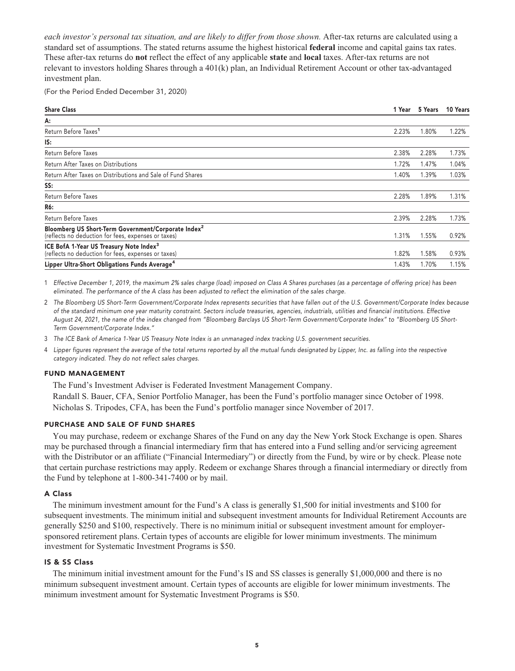*each investor's personal tax situation, and are likely to differ from those shown.* **After-tax returns are calculated using a standard set of assumptions. The stated returns assume the highest historical federal income and capital gains tax rates. These after-tax returns do not reflect the effect of any applicable state and local taxes. After-tax returns are not relevant to investors holding Shares through a 401(k) plan, an Individual Retirement Account or other tax-advantaged investment plan.**

**(For the Period Ended December 31, 2020)**

| <b>Share Class</b>                                                                                                     | 1 Year | 5 Years | 10 Years |
|------------------------------------------------------------------------------------------------------------------------|--------|---------|----------|
| А:                                                                                                                     |        |         |          |
| Return Before Taxes <sup>1</sup>                                                                                       | 2.23%  | 1.80%   | 1.22%    |
| IS:                                                                                                                    |        |         |          |
| Return Before Taxes                                                                                                    | 2.38%  | 2.28%   | 1.73%    |
| Return After Taxes on Distributions                                                                                    | 1.72%  | 1.47%   | 1.04%    |
| Return After Taxes on Distributions and Sale of Fund Shares                                                            | 1.40%  | 1.39%   | 1.03%    |
| SS:                                                                                                                    |        |         |          |
| Return Before Taxes                                                                                                    | 2.28%  | 1.89%   | 1.31%    |
| R6:                                                                                                                    |        |         |          |
| Return Before Taxes                                                                                                    | 2.39%  | 2.28%   | 1.73%    |
| Bloomberg US Short-Term Government/Corporate Index <sup>2</sup><br>(reflects no deduction for fees, expenses or taxes) | 1.31%  | 1.55%   | 0.92%    |
| ICE BofA 1-Year US Treasury Note Index <sup>3</sup><br>(reflects no deduction for fees, expenses or taxes)             | 1.82%  | 1.58%   | 0.93%    |
| Lipper Ultra-Short Obligations Funds Average <sup>4</sup>                                                              | 1.43%  | 1.70%   | 1.15%    |

**1 Effective December 1, 2019, the maximum 2% sales charge (load) imposed on Class A Shares purchases (as a percentage of offering price) has been eliminated. The performance of the A class has been adjusted to reflect the elimination of the sales charge.**

**2 The Bloomberg US Short-Term Government/Corporate Index represents securities that have fallen out of the U.S. Government/Corporate Index because of the standard minimum one year maturity constraint. Sectors include treasuries, agencies, industrials, utilities and financial institutions. Effective August 24, 2021, the name of the index changed from "Bloomberg Barclays US Short-Term Government/Corporate Index" to "Bloomberg US Short-Term Government/Corporate Index."**

**3 The ICE Bank of America 1-Year US Treasury Note Index is an unmanaged index tracking U.S. government securities.**

**4 Lipper figures represent the average of the total returns reported by all the mutual funds designated by Lipper, Inc. as falling into the respective category indicated. They do not reflect sales charges.**

#### **FUND MANAGEMENT**

**The Fund's Investment Adviser is Federated Investment Management Company.**

**Randall S. Bauer, CFA, Senior Portfolio Manager, has been the Fund's portfolio manager since October of 1998. Nicholas S. Tripodes, CFA, has been the Fund's portfolio manager since November of 2017.**

#### **PURCHASE AND SALE OF FUND SHARES**

**You may purchase, redeem or exchange Shares of the Fund on any day the New York Stock Exchange is open. Shares may be purchased through a financial intermediary firm that has entered into a Fund selling and/or servicing agreement with the Distributor or an affiliate ("Financial Intermediary") or directly from the Fund, by wire or by check. Please note that certain purchase restrictions may apply. Redeem or exchange Shares through a financial intermediary or directly from the Fund by telephone at 1-800-341-7400 or by mail.**

#### **A Class**

**The minimum investment amount for the Fund's A class is generally \$1,500 for initial investments and \$100 for subsequent investments. The minimum initial and subsequent investment amounts for Individual Retirement Accounts are generally \$250 and \$100, respectively. There is no minimum initial or subsequent investment amount for employersponsored retirement plans. Certain types of accounts are eligible for lower minimum investments. The minimum investment for Systematic Investment Programs is \$50.**

#### **IS & SS Class**

**The minimum initial investment amount for the Fund's IS and SS classes is generally \$1,000,000 and there is no minimum subsequent investment amount. Certain types of accounts are eligible for lower minimum investments. The minimum investment amount for Systematic Investment Programs is \$50.**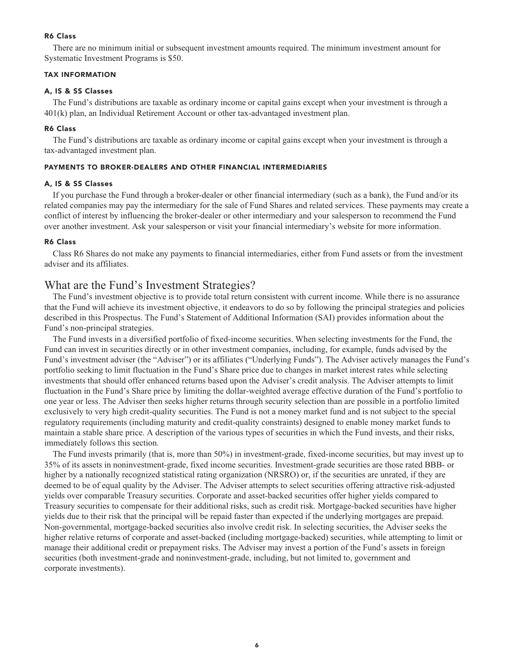# **R6 Class**

**There are no minimum initial or subsequent investment amounts required. The minimum investment amount for Systematic Investment Programs is \$50.**

#### **TAX INFORMATION**

#### **A, IS & SS Classes**

**The Fund's distributions are taxable as ordinary income or capital gains except when your investment is through a 401(k) plan, an Individual Retirement Account or other tax-advantaged investment plan.**

#### **R6 Class**

**The Fund's distributions are taxable as ordinary income or capital gains except when your investment is through a tax-advantaged investment plan.**

#### **PAYMENTS TO BROKER-DEALERS AND OTHER FINANCIAL INTERMEDIARIES**

#### **A, IS & SS Classes**

**If you purchase the Fund through a broker-dealer or other financial intermediary (such as a bank), the Fund and/or its related companies may pay the intermediary for the sale of Fund Shares and related services. These payments may create a conflict of interest by influencing the broker-dealer or other intermediary and your salesperson to recommend the Fund over another investment. Ask your salesperson or visit your financial intermediary's website for more information.**

#### **R6 Class**

**Class R6 Shares do not make any payments to financial intermediaries, either from Fund assets or from the investment adviser and its affiliates.**

# **What are the Fund's Investment Strategies?**

**The Fund's investment objective is to provide total return consistent with current income. While there is no assurance that the Fund will achieve its investment objective, it endeavors to do so by following the principal strategies and policies described in this Prospectus. The Fund's Statement of Additional Information (SAI) provides information about the Fund's non-principal strategies.**

**The Fund invests in a diversified portfolio of fixed-income securities. When selecting investments for the Fund, the Fund can invest in securities directly or in other investment companies, including, for example, funds advised by the Fund's investment adviser (the "Adviser") or its affiliates ("Underlying Funds"). The Adviser actively manages the Fund's portfolio seeking to limit fluctuation in the Fund's Share price due to changes in market interest rates while selecting investments that should offer enhanced returns based upon the Adviser's credit analysis. The Adviser attempts to limit fluctuation in the Fund's Share price by limiting the dollar-weighted average effective duration of the Fund's portfolio to one year or less. The Adviser then seeks higher returns through security selection than are possible in a portfolio limited exclusively to very high credit-quality securities. The Fund is not a money market fund and is not subject to the special regulatory requirements (including maturity and credit-quality constraints) designed to enable money market funds to maintain a stable share price. A description of the various types of securities in which the Fund invests, and their risks, immediately follows this section.**

**The Fund invests primarily (that is, more than 50%) in investment-grade, fixed-income securities, but may invest up to 35% of its assets in noninvestment-grade, fixed income securities. Investment-grade securities are those rated BBB- or higher by a nationally recognized statistical rating organization (NRSRO) or, if the securities are unrated, if they are deemed to be of equal quality by the Adviser. The Adviser attempts to select securities offering attractive risk-adjusted yields over comparable Treasury securities. Corporate and asset-backed securities offer higher yields compared to Treasury securities to compensate for their additional risks, such as credit risk. Mortgage-backed securities have higher yields due to their risk that the principal will be repaid faster than expected if the underlying mortgages are prepaid. Non-governmental, mortgage-backed securities also involve credit risk. In selecting securities, the Adviser seeks the higher relative returns of corporate and asset-backed (including mortgage-backed) securities, while attempting to limit or manage their additional credit or prepayment risks. The Adviser may invest a portion of the Fund's assets in foreign securities (both investment-grade and noninvestment-grade, including, but not limited to, government and corporate investments).**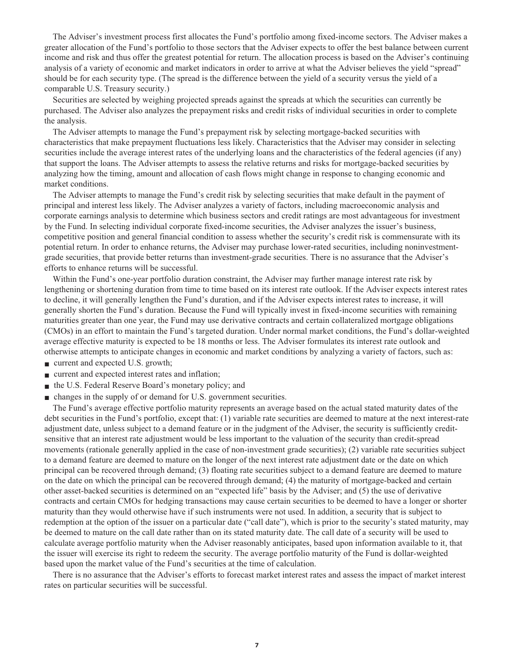**The Adviser's investment process first allocates the Fund's portfolio among fixed-income sectors. The Adviser makes a greater allocation of the Fund's portfolio to those sectors that the Adviser expects to offer the best balance between current income and risk and thus offer the greatest potential for return. The allocation process is based on the Adviser's continuing analysis of a variety of economic and market indicators in order to arrive at what the Adviser believes the yield "spread" should be for each security type. (The spread is the difference between the yield of a security versus the yield of a comparable U.S. Treasury security.)**

**Securities are selected by weighing projected spreads against the spreads at which the securities can currently be purchased. The Adviser also analyzes the prepayment risks and credit risks of individual securities in order to complete the analysis.**

**The Adviser attempts to manage the Fund's prepayment risk by selecting mortgage-backed securities with characteristics that make prepayment fluctuations less likely. Characteristics that the Adviser may consider in selecting securities include the average interest rates of the underlying loans and the characteristics of the federal agencies (if any) that support the loans. The Adviser attempts to assess the relative returns and risks for mortgage-backed securities by analyzing how the timing, amount and allocation of cash flows might change in response to changing economic and market conditions.**

**The Adviser attempts to manage the Fund's credit risk by selecting securities that make default in the payment of principal and interest less likely. The Adviser analyzes a variety of factors, including macroeconomic analysis and corporate earnings analysis to determine which business sectors and credit ratings are most advantageous for investment by the Fund. In selecting individual corporate fixed-income securities, the Adviser analyzes the issuer's business, competitive position and general financial condition to assess whether the security's credit risk is commensurate with its potential return. In order to enhance returns, the Adviser may purchase lower-rated securities, including noninvestmentgrade securities, that provide better returns than investment-grade securities. There is no assurance that the Adviser's efforts to enhance returns will be successful.**

**Within the Fund's one-year portfolio duration constraint, the Adviser may further manage interest rate risk by lengthening or shortening duration from time to time based on its interest rate outlook. If the Adviser expects interest rates to decline, it will generally lengthen the Fund's duration, and if the Adviser expects interest rates to increase, it will generally shorten the Fund's duration. Because the Fund will typically invest in fixed-income securities with remaining maturities greater than one year, the Fund may use derivative contracts and certain collateralized mortgage obligations (CMOs) in an effort to maintain the Fund's targeted duration. Under normal market conditions, the Fund's dollar-weighted average effective maturity is expected to be 18 months or less. The Adviser formulates its interest rate outlook and otherwise attempts to anticipate changes in economic and market conditions by analyzing a variety of factors, such as:**

- **■ current and expected U.S. growth;**
- **■ current and expected interest rates and inflation;**
- **the U.S. Federal Reserve Board's monetary policy; and**
- **changes** in the supply of or demand for U.S. government securities.

**The Fund's average effective portfolio maturity represents an average based on the actual stated maturity dates of the debt securities in the Fund's portfolio, except that: (1) variable rate securities are deemed to mature at the next interest-rate adjustment date, unless subject to a demand feature or in the judgment of the Adviser, the security is sufficiently creditsensitive that an interest rate adjustment would be less important to the valuation of the security than credit-spread movements (rationale generally applied in the case of non-investment grade securities); (2) variable rate securities subject to a demand feature are deemed to mature on the longer of the next interest rate adjustment date or the date on which principal can be recovered through demand; (3) floating rate securities subject to a demand feature are deemed to mature on the date on which the principal can be recovered through demand; (4) the maturity of mortgage-backed and certain other asset-backed securities is determined on an "expected life" basis by the Adviser; and (5) the use of derivative contracts and certain CMOs for hedging transactions may cause certain securities to be deemed to have a longer or shorter maturity than they would otherwise have if such instruments were not used. In addition, a security that is subject to redemption at the option of the issuer on a particular date ("call date"), which is prior to the security's stated maturity, may be deemed to mature on the call date rather than on its stated maturity date. The call date of a security will be used to calculate average portfolio maturity when the Adviser reasonably anticipates, based upon information available to it, that the issuer will exercise its right to redeem the security. The average portfolio maturity of the Fund is dollar-weighted based upon the market value of the Fund's securities at the time of calculation.**

**There is no assurance that the Adviser's efforts to forecast market interest rates and assess the impact of market interest rates on particular securities will be successful.**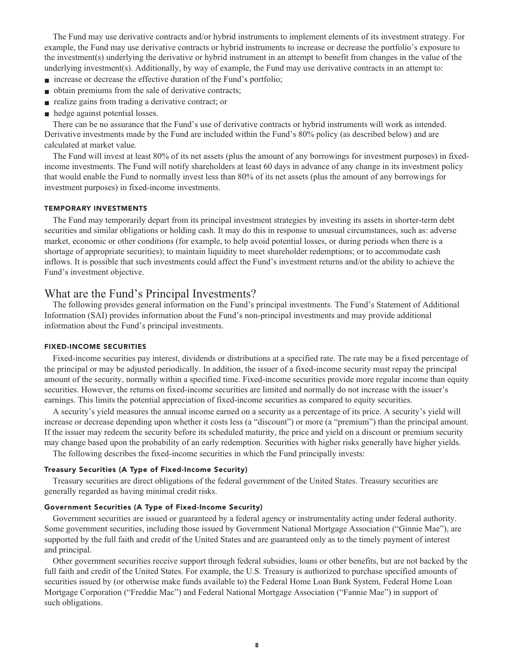**The Fund may use derivative contracts and/or hybrid instruments to implement elements of its investment strategy. For example, the Fund may use derivative contracts or hybrid instruments to increase or decrease the portfolio's exposure to the investment(s) underlying the derivative or hybrid instrument in an attempt to benefit from changes in the value of the underlying investment(s). Additionally, by way of example, the Fund may use derivative contracts in an attempt to:**

- **increase** or decrease the effective duration of the Fund's portfolio;
- **■ obtain premiums from the sale of derivative contracts;**
- **realize gains from trading a derivative contract; or**
- **■ hedge against potential losses.**

**There can be no assurance that the Fund's use of derivative contracts or hybrid instruments will work as intended. Derivative investments made by the Fund are included within the Fund's 80% policy (as described below) and are calculated at market value.**

**The Fund will invest at least 80% of its net assets (plus the amount of any borrowings for investment purposes) in fixedincome investments. The Fund will notify shareholders at least 60 days in advance of any change in its investment policy that would enable the Fund to normally invest less than 80% of its net assets (plus the amount of any borrowings for investment purposes) in fixed-income investments.**

#### **TEMPORARY INVESTMENTS**

**The Fund may temporarily depart from its principal investment strategies by investing its assets in shorter-term debt securities and similar obligations or holding cash. It may do this in response to unusual circumstances, such as: adverse market, economic or other conditions (for example, to help avoid potential losses, or during periods when there is a shortage of appropriate securities); to maintain liquidity to meet shareholder redemptions; or to accommodate cash inflows. It is possible that such investments could affect the Fund's investment returns and/or the ability to achieve the Fund's investment objective.**

# **What are the Fund's Principal Investments?**

**The following provides general information on the Fund's principal investments. The Fund's Statement of Additional Information (SAI) provides information about the Fund's non-principal investments and may provide additional information about the Fund's principal investments.**

#### **FIXED-INCOME SECURITIES**

**Fixed-income securities pay interest, dividends or distributions at a specified rate. The rate may be a fixed percentage of the principal or may be adjusted periodically. In addition, the issuer of a fixed-income security must repay the principal amount of the security, normally within a specified time. Fixed-income securities provide more regular income than equity securities. However, the returns on fixed-income securities are limited and normally do not increase with the issuer's earnings. This limits the potential appreciation of fixed-income securities as compared to equity securities.**

**A security's yield measures the annual income earned on a security as a percentage of its price. A security's yield will increase or decrease depending upon whether it costs less (a "discount") or more (a "premium") than the principal amount. If the issuer may redeem the security before its scheduled maturity, the price and yield on a discount or premium security may change based upon the probability of an early redemption. Securities with higher risks generally have higher yields.**

**The following describes the fixed-income securities in which the Fund principally invests:**

#### **Treasury Securities (A Type of Fixed-Income Security)**

**Treasury securities are direct obligations of the federal government of the United States. Treasury securities are generally regarded as having minimal credit risks.**

#### **Government Securities (A Type of Fixed-Income Security)**

**Government securities are issued or guaranteed by a federal agency or instrumentality acting under federal authority. Some government securities, including those issued by Government National Mortgage Association ("Ginnie Mae"), are supported by the full faith and credit of the United States and are guaranteed only as to the timely payment of interest and principal.**

**Other government securities receive support through federal subsidies, loans or other benefits, but are not backed by the full faith and credit of the United States. For example, the U.S. Treasury is authorized to purchase specified amounts of securities issued by (or otherwise make funds available to) the Federal Home Loan Bank System, Federal Home Loan Mortgage Corporation ("Freddie Mac") and Federal National Mortgage Association ("Fannie Mae") in support of such obligations.**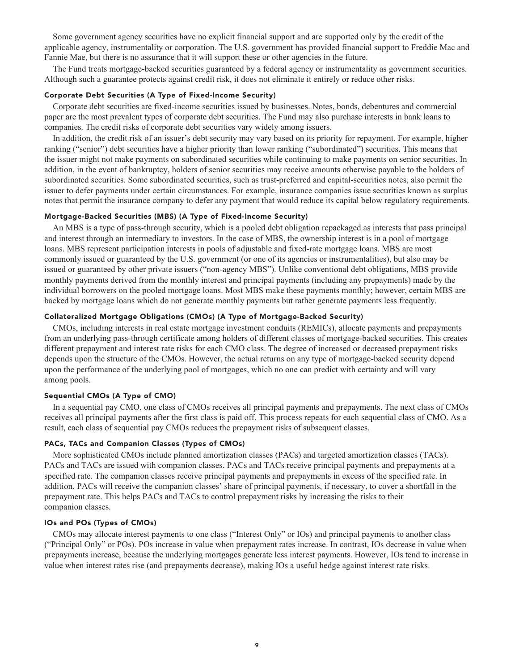**Some government agency securities have no explicit financial support and are supported only by the credit of the applicable agency, instrumentality or corporation. The U.S. government has provided financial support to Freddie Mac and Fannie Mae, but there is no assurance that it will support these or other agencies in the future.**

**The Fund treats mortgage-backed securities guaranteed by a federal agency or instrumentality as government securities. Although such a guarantee protects against credit risk, it does not eliminate it entirely or reduce other risks.**

#### **Corporate Debt Securities (A Type of Fixed-Income Security)**

**Corporate debt securities are fixed-income securities issued by businesses. Notes, bonds, debentures and commercial paper are the most prevalent types of corporate debt securities. The Fund may also purchase interests in bank loans to companies. The credit risks of corporate debt securities vary widely among issuers.**

**In addition, the credit risk of an issuer's debt security may vary based on its priority for repayment. For example, higher ranking ("senior") debt securities have a higher priority than lower ranking ("subordinated") securities. This means that the issuer might not make payments on subordinated securities while continuing to make payments on senior securities. In addition, in the event of bankruptcy, holders of senior securities may receive amounts otherwise payable to the holders of subordinated securities. Some subordinated securities, such as trust-preferred and capital-securities notes, also permit the issuer to defer payments under certain circumstances. For example, insurance companies issue securities known as surplus notes that permit the insurance company to defer any payment that would reduce its capital below regulatory requirements.**

#### **Mortgage-Backed Securities (MBS) (A Type of Fixed-Income Security)**

**An MBS is a type of pass-through security, which is a pooled debt obligation repackaged as interests that pass principal and interest through an intermediary to investors. In the case of MBS, the ownership interest is in a pool of mortgage loans. MBS represent participation interests in pools of adjustable and fixed-rate mortgage loans. MBS are most commonly issued or guaranteed by the U.S. government (or one of its agencies or instrumentalities), but also may be issued or guaranteed by other private issuers ("non-agency MBS"). Unlike conventional debt obligations, MBS provide monthly payments derived from the monthly interest and principal payments (including any prepayments) made by the individual borrowers on the pooled mortgage loans. Most MBS make these payments monthly; however, certain MBS are backed by mortgage loans which do not generate monthly payments but rather generate payments less frequently.**

# **Collateralized Mortgage Obligations (CMOs) (A Type of Mortgage-Backed Security)**

**CMOs, including interests in real estate mortgage investment conduits (REMICs), allocate payments and prepayments from an underlying pass-through certificate among holders of different classes of mortgage-backed securities. This creates different prepayment and interest rate risks for each CMO class. The degree of increased or decreased prepayment risks depends upon the structure of the CMOs. However, the actual returns on any type of mortgage-backed security depend upon the performance of the underlying pool of mortgages, which no one can predict with certainty and will vary among pools.**

#### **Sequential CMOs (A Type of CMO)**

**In a sequential pay CMO, one class of CMOs receives all principal payments and prepayments. The next class of CMOs receives all principal payments after the first class is paid off. This process repeats for each sequential class of CMO. As a result, each class of sequential pay CMOs reduces the prepayment risks of subsequent classes.**

#### **PACs, TACs and Companion Classes (Types of CMOs)**

**More sophisticated CMOs include planned amortization classes (PACs) and targeted amortization classes (TACs). PACs and TACs are issued with companion classes. PACs and TACs receive principal payments and prepayments at a specified rate. The companion classes receive principal payments and prepayments in excess of the specified rate. In addition, PACs will receive the companion classes' share of principal payments, if necessary, to cover a shortfall in the prepayment rate. This helps PACs and TACs to control prepayment risks by increasing the risks to their companion classes.**

#### **IOs and POs (Types of CMOs)**

**CMOs may allocate interest payments to one class ("Interest Only" or IOs) and principal payments to another class ("Principal Only" or POs). POs increase in value when prepayment rates increase. In contrast, IOs decrease in value when prepayments increase, because the underlying mortgages generate less interest payments. However, IOs tend to increase in value when interest rates rise (and prepayments decrease), making IOs a useful hedge against interest rate risks.**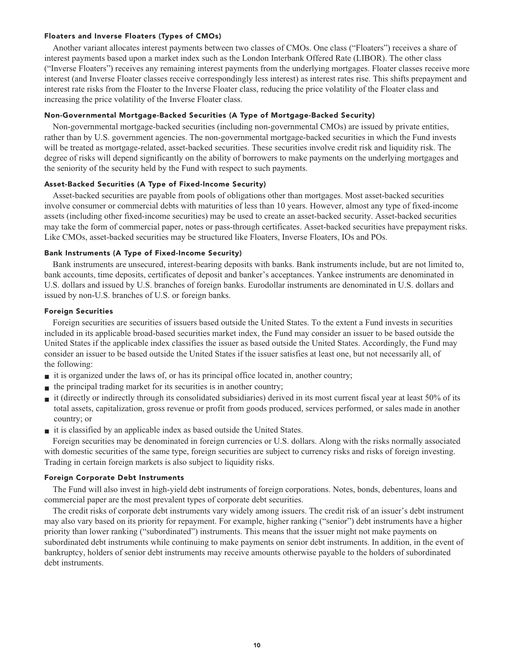#### **Floaters and Inverse Floaters (Types of CMOs)**

**Another variant allocates interest payments between two classes of CMOs. One class ("Floaters") receives a share of interest payments based upon a market index such as the London Interbank Offered Rate (LIBOR). The other class ("Inverse Floaters") receives any remaining interest payments from the underlying mortgages. Floater classes receive more interest (and Inverse Floater classes receive correspondingly less interest) as interest rates rise. This shifts prepayment and interest rate risks from the Floater to the Inverse Floater class, reducing the price volatility of the Floater class and increasing the price volatility of the Inverse Floater class.**

#### **Non-Governmental Mortgage-Backed Securities (A Type of Mortgage-Backed Security)**

**Non-governmental mortgage-backed securities (including non-governmental CMOs) are issued by private entities, rather than by U.S. government agencies. The non-governmental mortgage-backed securities in which the Fund invests will be treated as mortgage-related, asset-backed securities. These securities involve credit risk and liquidity risk. The degree of risks will depend significantly on the ability of borrowers to make payments on the underlying mortgages and the seniority of the security held by the Fund with respect to such payments.**

#### **Asset-Backed Securities (A Type of Fixed-Income Security)**

**Asset-backed securities are payable from pools of obligations other than mortgages. Most asset-backed securities involve consumer or commercial debts with maturities of less than 10 years. However, almost any type of fixed-income assets (including other fixed-income securities) may be used to create an asset-backed security. Asset-backed securities may take the form of commercial paper, notes or pass-through certificates. Asset-backed securities have prepayment risks. Like CMOs, asset-backed securities may be structured like Floaters, Inverse Floaters, IOs and POs.**

#### **Bank Instruments (A Type of Fixed-Income Security)**

**Bank instruments are unsecured, interest-bearing deposits with banks. Bank instruments include, but are not limited to, bank accounts, time deposits, certificates of deposit and banker's acceptances. Yankee instruments are denominated in U.S. dollars and issued by U.S. branches of foreign banks. Eurodollar instruments are denominated in U.S. dollars and issued by non-U.S. branches of U.S. or foreign banks.**

#### **Foreign Securities**

**Foreign securities are securities of issuers based outside the United States. To the extent a Fund invests in securities included in its applicable broad-based securities market index, the Fund may consider an issuer to be based outside the United States if the applicable index classifies the issuer as based outside the United States. Accordingly, the Fund may consider an issuer to be based outside the United States if the issuer satisfies at least one, but not necessarily all, of the following:**

- **■ it is organized under the laws of, or has its principal office located in, another country;**
- **the principal trading market for its securities is in another country;**
- **I** it (directly or indirectly through its consolidated subsidiaries) derived in its most current fiscal year at least 50% of its **total assets, capitalization, gross revenue or profit from goods produced, services performed, or sales made in another country; or**
- **it is classified by an applicable index as based outside the United States.**

**Foreign securities may be denominated in foreign currencies or U.S. dollars. Along with the risks normally associated with domestic securities of the same type, foreign securities are subject to currency risks and risks of foreign investing. Trading in certain foreign markets is also subject to liquidity risks.**

#### **Foreign Corporate Debt Instruments**

**The Fund will also invest in high-yield debt instruments of foreign corporations. Notes, bonds, debentures, loans and commercial paper are the most prevalent types of corporate debt securities.**

**The credit risks of corporate debt instruments vary widely among issuers. The credit risk of an issuer's debt instrument may also vary based on its priority for repayment. For example, higher ranking ("senior") debt instruments have a higher priority than lower ranking ("subordinated") instruments. This means that the issuer might not make payments on subordinated debt instruments while continuing to make payments on senior debt instruments. In addition, in the event of bankruptcy, holders of senior debt instruments may receive amounts otherwise payable to the holders of subordinated debt instruments.**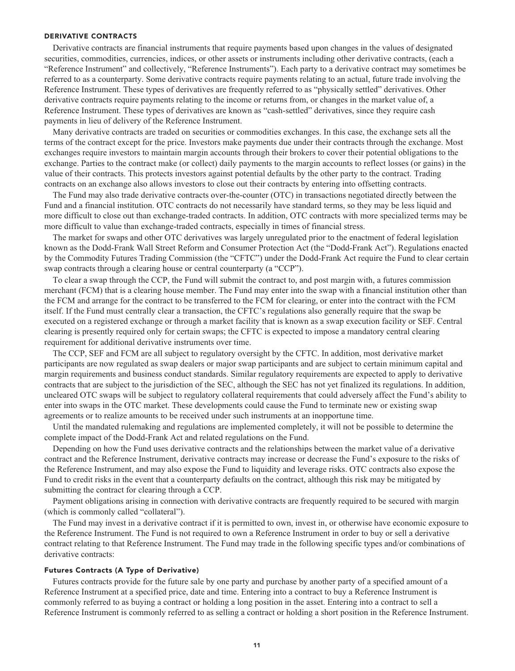#### **DERIVATIVE CONTRACTS**

**Derivative contracts are financial instruments that require payments based upon changes in the values of designated securities, commodities, currencies, indices, or other assets or instruments including other derivative contracts, (each a "Reference Instrument" and collectively, "Reference Instruments"). Each party to a derivative contract may sometimes be referred to as a counterparty. Some derivative contracts require payments relating to an actual, future trade involving the Reference Instrument. These types of derivatives are frequently referred to as "physically settled" derivatives. Other derivative contracts require payments relating to the income or returns from, or changes in the market value of, a Reference Instrument. These types of derivatives are known as "cash-settled" derivatives, since they require cash payments in lieu of delivery of the Reference Instrument.**

**Many derivative contracts are traded on securities or commodities exchanges. In this case, the exchange sets all the terms of the contract except for the price. Investors make payments due under their contracts through the exchange. Most exchanges require investors to maintain margin accounts through their brokers to cover their potential obligations to the exchange. Parties to the contract make (or collect) daily payments to the margin accounts to reflect losses (or gains) in the value of their contracts. This protects investors against potential defaults by the other party to the contract. Trading contracts on an exchange also allows investors to close out their contracts by entering into offsetting contracts.**

**The Fund may also trade derivative contracts over-the-counter (OTC) in transactions negotiated directly between the Fund and a financial institution. OTC contracts do not necessarily have standard terms, so they may be less liquid and more difficult to close out than exchange-traded contracts. In addition, OTC contracts with more specialized terms may be more difficult to value than exchange-traded contracts, especially in times of financial stress.**

**The market for swaps and other OTC derivatives was largely unregulated prior to the enactment of federal legislation known as the Dodd-Frank Wall Street Reform and Consumer Protection Act (the "Dodd-Frank Act"). Regulations enacted by the Commodity Futures Trading Commission (the "CFTC") under the Dodd-Frank Act require the Fund to clear certain swap contracts through a clearing house or central counterparty (a "CCP").**

**To clear a swap through the CCP, the Fund will submit the contract to, and post margin with, a futures commission merchant (FCM) that is a clearing house member. The Fund may enter into the swap with a financial institution other than the FCM and arrange for the contract to be transferred to the FCM for clearing, or enter into the contract with the FCM itself. If the Fund must centrally clear a transaction, the CFTC's regulations also generally require that the swap be executed on a registered exchange or through a market facility that is known as a swap execution facility or SEF. Central clearing is presently required only for certain swaps; the CFTC is expected to impose a mandatory central clearing requirement for additional derivative instruments over time.**

**The CCP, SEF and FCM are all subject to regulatory oversight by the CFTC. In addition, most derivative market participants are now regulated as swap dealers or major swap participants and are subject to certain minimum capital and margin requirements and business conduct standards. Similar regulatory requirements are expected to apply to derivative contracts that are subject to the jurisdiction of the SEC, although the SEC has not yet finalized its regulations. In addition, uncleared OTC swaps will be subject to regulatory collateral requirements that could adversely affect the Fund's ability to enter into swaps in the OTC market. These developments could cause the Fund to terminate new or existing swap agreements or to realize amounts to be received under such instruments at an inopportune time.**

**Until the mandated rulemaking and regulations are implemented completely, it will not be possible to determine the complete impact of the Dodd-Frank Act and related regulations on the Fund.**

**Depending on how the Fund uses derivative contracts and the relationships between the market value of a derivative contract and the Reference Instrument, derivative contracts may increase or decrease the Fund's exposure to the risks of the Reference Instrument, and may also expose the Fund to liquidity and leverage risks. OTC contracts also expose the Fund to credit risks in the event that a counterparty defaults on the contract, although this risk may be mitigated by submitting the contract for clearing through a CCP.**

**Payment obligations arising in connection with derivative contracts are frequently required to be secured with margin (which is commonly called "collateral").**

**The Fund may invest in a derivative contract if it is permitted to own, invest in, or otherwise have economic exposure to the Reference Instrument. The Fund is not required to own a Reference Instrument in order to buy or sell a derivative contract relating to that Reference Instrument. The Fund may trade in the following specific types and/or combinations of derivative contracts:**

#### **Futures Contracts (A Type of Derivative)**

**Futures contracts provide for the future sale by one party and purchase by another party of a specified amount of a Reference Instrument at a specified price, date and time. Entering into a contract to buy a Reference Instrument is commonly referred to as buying a contract or holding a long position in the asset. Entering into a contract to sell a Reference Instrument is commonly referred to as selling a contract or holding a short position in the Reference Instrument.**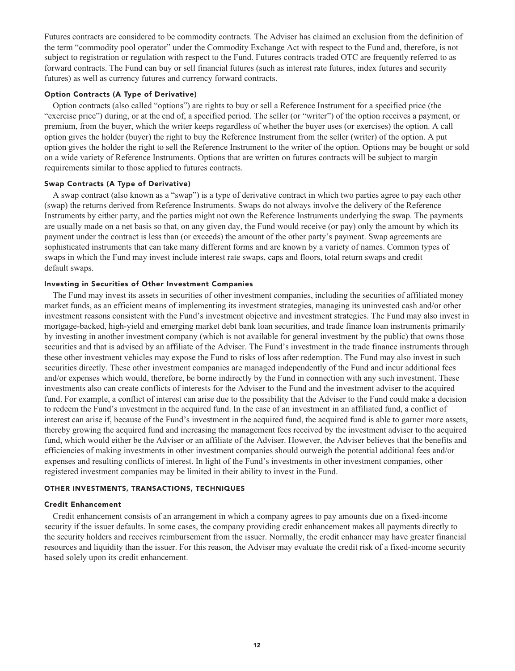**Futures contracts are considered to be commodity contracts. The Adviser has claimed an exclusion from the definition of the term "commodity pool operator" under the Commodity Exchange Act with respect to the Fund and, therefore, is not subject to registration or regulation with respect to the Fund. Futures contracts traded OTC are frequently referred to as forward contracts. The Fund can buy or sell financial futures (such as interest rate futures, index futures and security futures) as well as currency futures and currency forward contracts.**

# **Option Contracts (A Type of Derivative)**

**Option contracts (also called "options") are rights to buy or sell a Reference Instrument for a specified price (the "exercise price") during, or at the end of, a specified period. The seller (or "writer") of the option receives a payment, or premium, from the buyer, which the writer keeps regardless of whether the buyer uses (or exercises) the option. A call option gives the holder (buyer) the right to buy the Reference Instrument from the seller (writer) of the option. A put option gives the holder the right to sell the Reference Instrument to the writer of the option. Options may be bought or sold on a wide variety of Reference Instruments. Options that are written on futures contracts will be subject to margin requirements similar to those applied to futures contracts.**

#### **Swap Contracts (A Type of Derivative)**

**A swap contract (also known as a "swap") is a type of derivative contract in which two parties agree to pay each other (swap) the returns derived from Reference Instruments. Swaps do not always involve the delivery of the Reference Instruments by either party, and the parties might not own the Reference Instruments underlying the swap. The payments are usually made on a net basis so that, on any given day, the Fund would receive (or pay) only the amount by which its payment under the contract is less than (or exceeds) the amount of the other party's payment. Swap agreements are sophisticated instruments that can take many different forms and are known by a variety of names. Common types of swaps in which the Fund may invest include interest rate swaps, caps and floors, total return swaps and credit default swaps.**

#### **Investing in Securities of Other Investment Companies**

**The Fund may invest its assets in securities of other investment companies, including the securities of affiliated money market funds, as an efficient means of implementing its investment strategies, managing its uninvested cash and/or other investment reasons consistent with the Fund's investment objective and investment strategies. The Fund may also invest in mortgage-backed, high-yield and emerging market debt bank loan securities, and trade finance loan instruments primarily by investing in another investment company (which is not available for general investment by the public) that owns those securities and that is advised by an affiliate of the Adviser. The Fund's investment in the trade finance instruments through these other investment vehicles may expose the Fund to risks of loss after redemption. The Fund may also invest in such securities directly. These other investment companies are managed independently of the Fund and incur additional fees and/or expenses which would, therefore, be borne indirectly by the Fund in connection with any such investment. These investments also can create conflicts of interests for the Adviser to the Fund and the investment adviser to the acquired fund. For example, a conflict of interest can arise due to the possibility that the Adviser to the Fund could make a decision to redeem the Fund's investment in the acquired fund. In the case of an investment in an affiliated fund, a conflict of interest can arise if, because of the Fund's investment in the acquired fund, the acquired fund is able to garner more assets, thereby growing the acquired fund and increasing the management fees received by the investment adviser to the acquired fund, which would either be the Adviser or an affiliate of the Adviser. However, the Adviser believes that the benefits and efficiencies of making investments in other investment companies should outweigh the potential additional fees and/or expenses and resulting conflicts of interest. In light of the Fund's investments in other investment companies, other registered investment companies may be limited in their ability to invest in the Fund.**

#### **OTHER INVESTMENTS, TRANSACTIONS, TECHNIQUES**

#### **Credit Enhancement**

**Credit enhancement consists of an arrangement in which a company agrees to pay amounts due on a fixed-income security if the issuer defaults. In some cases, the company providing credit enhancement makes all payments directly to the security holders and receives reimbursement from the issuer. Normally, the credit enhancer may have greater financial resources and liquidity than the issuer. For this reason, the Adviser may evaluate the credit risk of a fixed-income security based solely upon its credit enhancement.**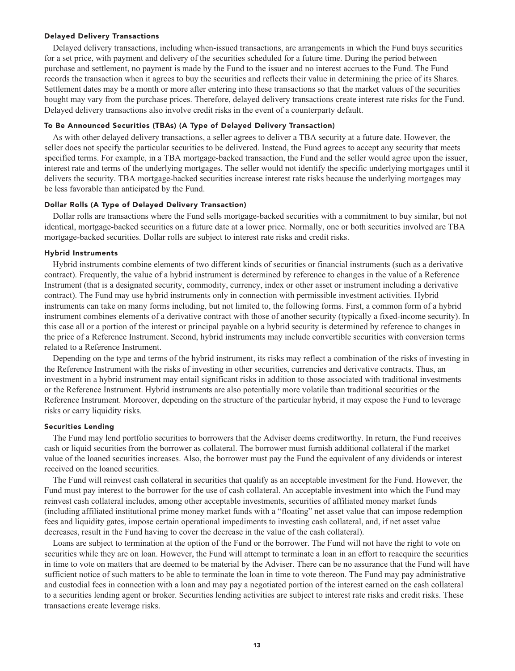#### **Delayed Delivery Transactions**

**Delayed delivery transactions, including when-issued transactions, are arrangements in which the Fund buys securities for a set price, with payment and delivery of the securities scheduled for a future time. During the period between purchase and settlement, no payment is made by the Fund to the issuer and no interest accrues to the Fund. The Fund records the transaction when it agrees to buy the securities and reflects their value in determining the price of its Shares. Settlement dates may be a month or more after entering into these transactions so that the market values of the securities bought may vary from the purchase prices. Therefore, delayed delivery transactions create interest rate risks for the Fund. Delayed delivery transactions also involve credit risks in the event of a counterparty default.**

#### **To Be Announced Securities (TBAs) (A Type of Delayed Delivery Transaction)**

**As with other delayed delivery transactions, a seller agrees to deliver a TBA security at a future date. However, the seller does not specify the particular securities to be delivered. Instead, the Fund agrees to accept any security that meets specified terms. For example, in a TBA mortgage-backed transaction, the Fund and the seller would agree upon the issuer, interest rate and terms of the underlying mortgages. The seller would not identify the specific underlying mortgages until it delivers the security. TBA mortgage-backed securities increase interest rate risks because the underlying mortgages may be less favorable than anticipated by the Fund.**

#### **Dollar Rolls (A Type of Delayed Delivery Transaction)**

**Dollar rolls are transactions where the Fund sells mortgage-backed securities with a commitment to buy similar, but not identical, mortgage-backed securities on a future date at a lower price. Normally, one or both securities involved are TBA mortgage-backed securities. Dollar rolls are subject to interest rate risks and credit risks.**

# **Hybrid Instruments**

**Hybrid instruments combine elements of two different kinds of securities or financial instruments (such as a derivative contract). Frequently, the value of a hybrid instrument is determined by reference to changes in the value of a Reference Instrument (that is a designated security, commodity, currency, index or other asset or instrument including a derivative contract). The Fund may use hybrid instruments only in connection with permissible investment activities. Hybrid instruments can take on many forms including, but not limited to, the following forms. First, a common form of a hybrid instrument combines elements of a derivative contract with those of another security (typically a fixed-income security). In this case all or a portion of the interest or principal payable on a hybrid security is determined by reference to changes in the price of a Reference Instrument. Second, hybrid instruments may include convertible securities with conversion terms related to a Reference Instrument.**

**Depending on the type and terms of the hybrid instrument, its risks may reflect a combination of the risks of investing in the Reference Instrument with the risks of investing in other securities, currencies and derivative contracts. Thus, an investment in a hybrid instrument may entail significant risks in addition to those associated with traditional investments or the Reference Instrument. Hybrid instruments are also potentially more volatile than traditional securities or the Reference Instrument. Moreover, depending on the structure of the particular hybrid, it may expose the Fund to leverage risks or carry liquidity risks.**

#### **Securities Lending**

**The Fund may lend portfolio securities to borrowers that the Adviser deems creditworthy. In return, the Fund receives cash or liquid securities from the borrower as collateral. The borrower must furnish additional collateral if the market value of the loaned securities increases. Also, the borrower must pay the Fund the equivalent of any dividends or interest received on the loaned securities.**

**The Fund will reinvest cash collateral in securities that qualify as an acceptable investment for the Fund. However, the Fund must pay interest to the borrower for the use of cash collateral. An acceptable investment into which the Fund may reinvest cash collateral includes, among other acceptable investments, securities of affiliated money market funds (including affiliated institutional prime money market funds with a "floating" net asset value that can impose redemption fees and liquidity gates, impose certain operational impediments to investing cash collateral, and, if net asset value decreases, result in the Fund having to cover the decrease in the value of the cash collateral).**

**Loans are subject to termination at the option of the Fund or the borrower. The Fund will not have the right to vote on securities while they are on loan. However, the Fund will attempt to terminate a loan in an effort to reacquire the securities in time to vote on matters that are deemed to be material by the Adviser. There can be no assurance that the Fund will have sufficient notice of such matters to be able to terminate the loan in time to vote thereon. The Fund may pay administrative and custodial fees in connection with a loan and may pay a negotiated portion of the interest earned on the cash collateral to a securities lending agent or broker. Securities lending activities are subject to interest rate risks and credit risks. These transactions create leverage risks.**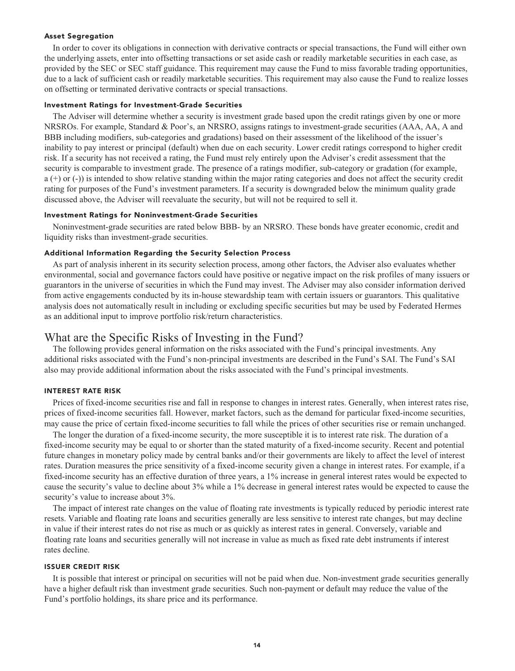#### **Asset Segregation**

**In order to cover its obligations in connection with derivative contracts or special transactions, the Fund will either own the underlying assets, enter into offsetting transactions or set aside cash or readily marketable securities in each case, as provided by the SEC or SEC staff guidance. This requirement may cause the Fund to miss favorable trading opportunities, due to a lack of sufficient cash or readily marketable securities. This requirement may also cause the Fund to realize losses on offsetting or terminated derivative contracts or special transactions.**

#### **Investment Ratings for Investment-Grade Securities**

**The Adviser will determine whether a security is investment grade based upon the credit ratings given by one or more NRSROs. For example, Standard & Poor's, an NRSRO, assigns ratings to investment-grade securities (AAA, AA, A and BBB including modifiers, sub-categories and gradations) based on their assessment of the likelihood of the issuer's inability to pay interest or principal (default) when due on each security. Lower credit ratings correspond to higher credit risk. If a security has not received a rating, the Fund must rely entirely upon the Adviser's credit assessment that the security is comparable to investment grade. The presence of a ratings modifier, sub-category or gradation (for example, a (+) or (-)) is intended to show relative standing within the major rating categories and does not affect the security credit rating for purposes of the Fund's investment parameters. If a security is downgraded below the minimum quality grade discussed above, the Adviser will reevaluate the security, but will not be required to sell it.**

#### **Investment Ratings for Noninvestment-Grade Securities**

**Noninvestment-grade securities are rated below BBB- by an NRSRO. These bonds have greater economic, credit and liquidity risks than investment-grade securities.**

#### **Additional Information Regarding the Security Selection Process**

**As part of analysis inherent in its security selection process, among other factors, the Adviser also evaluates whether environmental, social and governance factors could have positive or negative impact on the risk profiles of many issuers or guarantors in the universe of securities in which the Fund may invest. The Adviser may also consider information derived from active engagements conducted by its in-house stewardship team with certain issuers or guarantors. This qualitative analysis does not automatically result in including or excluding specific securities but may be used by Federated Hermes as an additional input to improve portfolio risk/return characteristics.**

# **What are the Specific Risks of Investing in the Fund?**

**The following provides general information on the risks associated with the Fund's principal investments. Any additional risks associated with the Fund's non-principal investments are described in the Fund's SAI. The Fund's SAI also may provide additional information about the risks associated with the Fund's principal investments.**

#### **INTEREST RATE RISK**

**Prices of fixed-income securities rise and fall in response to changes in interest rates. Generally, when interest rates rise, prices of fixed-income securities fall. However, market factors, such as the demand for particular fixed-income securities, may cause the price of certain fixed-income securities to fall while the prices of other securities rise or remain unchanged.**

**The longer the duration of a fixed-income security, the more susceptible it is to interest rate risk. The duration of a fixed-income security may be equal to or shorter than the stated maturity of a fixed-income security. Recent and potential future changes in monetary policy made by central banks and/or their governments are likely to affect the level of interest rates. Duration measures the price sensitivity of a fixed-income security given a change in interest rates. For example, if a fixed-income security has an effective duration of three years, a 1% increase in general interest rates would be expected to cause the security's value to decline about 3% while a 1% decrease in general interest rates would be expected to cause the security's value to increase about 3%.**

**The impact of interest rate changes on the value of floating rate investments is typically reduced by periodic interest rate resets. Variable and floating rate loans and securities generally are less sensitive to interest rate changes, but may decline in value if their interest rates do not rise as much or as quickly as interest rates in general. Conversely, variable and floating rate loans and securities generally will not increase in value as much as fixed rate debt instruments if interest rates decline.**

#### **ISSUER CREDIT RISK**

**It is possible that interest or principal on securities will not be paid when due. Non-investment grade securities generally have a higher default risk than investment grade securities. Such non-payment or default may reduce the value of the Fund's portfolio holdings, its share price and its performance.**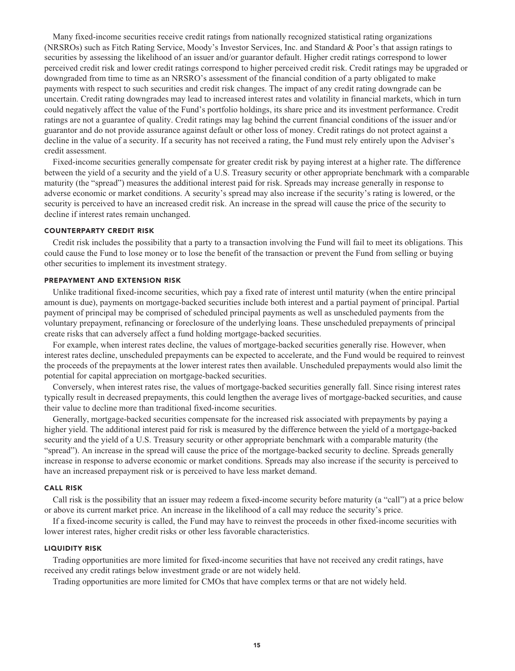**Many fixed-income securities receive credit ratings from nationally recognized statistical rating organizations (NRSROs) such as Fitch Rating Service, Moody's Investor Services, Inc. and Standard & Poor's that assign ratings to securities by assessing the likelihood of an issuer and/or guarantor default. Higher credit ratings correspond to lower perceived credit risk and lower credit ratings correspond to higher perceived credit risk. Credit ratings may be upgraded or downgraded from time to time as an NRSRO's assessment of the financial condition of a party obligated to make payments with respect to such securities and credit risk changes. The impact of any credit rating downgrade can be uncertain. Credit rating downgrades may lead to increased interest rates and volatility in financial markets, which in turn could negatively affect the value of the Fund's portfolio holdings, its share price and its investment performance. Credit ratings are not a guarantee of quality. Credit ratings may lag behind the current financial conditions of the issuer and/or guarantor and do not provide assurance against default or other loss of money. Credit ratings do not protect against a decline in the value of a security. If a security has not received a rating, the Fund must rely entirely upon the Adviser's credit assessment.**

**Fixed-income securities generally compensate for greater credit risk by paying interest at a higher rate. The difference between the yield of a security and the yield of a U.S. Treasury security or other appropriate benchmark with a comparable maturity (the "spread") measures the additional interest paid for risk. Spreads may increase generally in response to adverse economic or market conditions. A security's spread may also increase if the security's rating is lowered, or the security is perceived to have an increased credit risk. An increase in the spread will cause the price of the security to decline if interest rates remain unchanged.**

#### **COUNTERPARTY CREDIT RISK**

**Credit risk includes the possibility that a party to a transaction involving the Fund will fail to meet its obligations. This could cause the Fund to lose money or to lose the benefit of the transaction or prevent the Fund from selling or buying other securities to implement its investment strategy.**

### **PREPAYMENT AND EXTENSION RISK**

**Unlike traditional fixed-income securities, which pay a fixed rate of interest until maturity (when the entire principal amount is due), payments on mortgage-backed securities include both interest and a partial payment of principal. Partial payment of principal may be comprised of scheduled principal payments as well as unscheduled payments from the voluntary prepayment, refinancing or foreclosure of the underlying loans. These unscheduled prepayments of principal create risks that can adversely affect a fund holding mortgage-backed securities.**

**For example, when interest rates decline, the values of mortgage-backed securities generally rise. However, when interest rates decline, unscheduled prepayments can be expected to accelerate, and the Fund would be required to reinvest the proceeds of the prepayments at the lower interest rates then available. Unscheduled prepayments would also limit the potential for capital appreciation on mortgage-backed securities.**

**Conversely, when interest rates rise, the values of mortgage-backed securities generally fall. Since rising interest rates typically result in decreased prepayments, this could lengthen the average lives of mortgage-backed securities, and cause their value to decline more than traditional fixed-income securities.**

**Generally, mortgage-backed securities compensate for the increased risk associated with prepayments by paying a higher yield. The additional interest paid for risk is measured by the difference between the yield of a mortgage-backed security and the yield of a U.S. Treasury security or other appropriate benchmark with a comparable maturity (the "spread"). An increase in the spread will cause the price of the mortgage-backed security to decline. Spreads generally increase in response to adverse economic or market conditions. Spreads may also increase if the security is perceived to have an increased prepayment risk or is perceived to have less market demand.**

#### **CALL RISK**

**Call risk is the possibility that an issuer may redeem a fixed-income security before maturity (a "call") at a price below or above its current market price. An increase in the likelihood of a call may reduce the security's price.**

**If a fixed-income security is called, the Fund may have to reinvest the proceeds in other fixed-income securities with lower interest rates, higher credit risks or other less favorable characteristics.**

#### **LIQUIDITY RISK**

**Trading opportunities are more limited for fixed-income securities that have not received any credit ratings, have received any credit ratings below investment grade or are not widely held.**

**Trading opportunities are more limited for CMOs that have complex terms or that are not widely held.**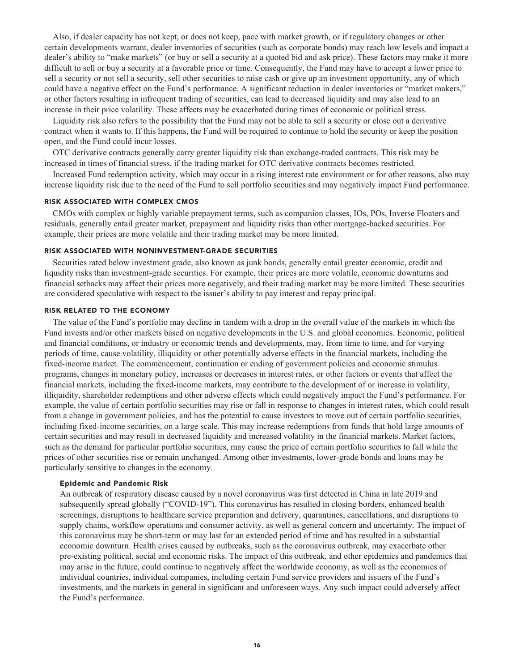**Also, if dealer capacity has not kept, or does not keep, pace with market growth, or if regulatory changes or other certain developments warrant, dealer inventories of securities (such as corporate bonds) may reach low levels and impact a dealer's ability to "make markets" (or buy or sell a security at a quoted bid and ask price). These factors may make it more difficult to sell or buy a security at a favorable price or time. Consequently, the Fund may have to accept a lower price to sell a security or not sell a security, sell other securities to raise cash or give up an investment opportunity, any of which could have a negative effect on the Fund's performance. A significant reduction in dealer inventories or "market makers," or other factors resulting in infrequent trading of securities, can lead to decreased liquidity and may also lead to an increase in their price volatility. These affects may be exacerbated during times of economic or political stress.**

**Liquidity risk also refers to the possibility that the Fund may not be able to sell a security or close out a derivative contract when it wants to. If this happens, the Fund will be required to continue to hold the security or keep the position open, and the Fund could incur losses.**

**OTC derivative contracts generally carry greater liquidity risk than exchange-traded contracts. This risk may be increased in times of financial stress, if the trading market for OTC derivative contracts becomes restricted.**

**Increased Fund redemption activity, which may occur in a rising interest rate environment or for other reasons, also may increase liquidity risk due to the need of the Fund to sell portfolio securities and may negatively impact Fund performance.**

#### **RISK ASSOCIATED WITH COMPLEX CMOS**

**CMOs with complex or highly variable prepayment terms, such as companion classes, IOs, POs, Inverse Floaters and residuals, generally entail greater market, prepayment and liquidity risks than other mortgage-backed securities. For example, their prices are more volatile and their trading market may be more limited.**

#### **RISK ASSOCIATED WITH NONINVESTMENT-GRADE SECURITIES**

**Securities rated below investment grade, also known as junk bonds, generally entail greater economic, credit and liquidity risks than investment-grade securities. For example, their prices are more volatile, economic downturns and financial setbacks may affect their prices more negatively, and their trading market may be more limited. These securities are considered speculative with respect to the issuer's ability to pay interest and repay principal.**

#### **RISK RELATED TO THE ECONOMY**

**The value of the Fund's portfolio may decline in tandem with a drop in the overall value of the markets in which the Fund invests and/or other markets based on negative developments in the U.S. and global economies. Economic, political and financial conditions, or industry or economic trends and developments, may, from time to time, and for varying periods of time, cause volatility, illiquidity or other potentially adverse effects in the financial markets, including the fixed-income market. The commencement, continuation or ending of government policies and economic stimulus programs, changes in monetary policy, increases or decreases in interest rates, or other factors or events that affect the financial markets, including the fixed-income markets, may contribute to the development of or increase in volatility, illiquidity, shareholder redemptions and other adverse effects which could negatively impact the Fund's performance. For example, the value of certain portfolio securities may rise or fall in response to changes in interest rates, which could result from a change in government policies, and has the potential to cause investors to move out of certain portfolio securities, including fixed-income securities, on a large scale. This may increase redemptions from funds that hold large amounts of certain securities and may result in decreased liquidity and increased volatility in the financial markets. Market factors, such as the demand for particular portfolio securities, may cause the price of certain portfolio securities to fall while the prices of other securities rise or remain unchanged. Among other investments, lower-grade bonds and loans may be particularly sensitive to changes in the economy.**

#### **Epidemic and Pandemic Risk**

**An outbreak of respiratory disease caused by a novel coronavirus was first detected in China in late 2019 and subsequently spread globally ("COVID-19"). This coronavirus has resulted in closing borders, enhanced health screenings, disruptions to healthcare service preparation and delivery, quarantines, cancellations, and disruptions to supply chains, workflow operations and consumer activity, as well as general concern and uncertainty. The impact of this coronavirus may be short-term or may last for an extended period of time and has resulted in a substantial economic downturn. Health crises caused by outbreaks, such as the coronavirus outbreak, may exacerbate other pre-existing political, social and economic risks. The impact of this outbreak, and other epidemics and pandemics that may arise in the future, could continue to negatively affect the worldwide economy, as well as the economies of individual countries, individual companies, including certain Fund service providers and issuers of the Fund's investments, and the markets in general in significant and unforeseen ways. Any such impact could adversely affect the Fund's performance.**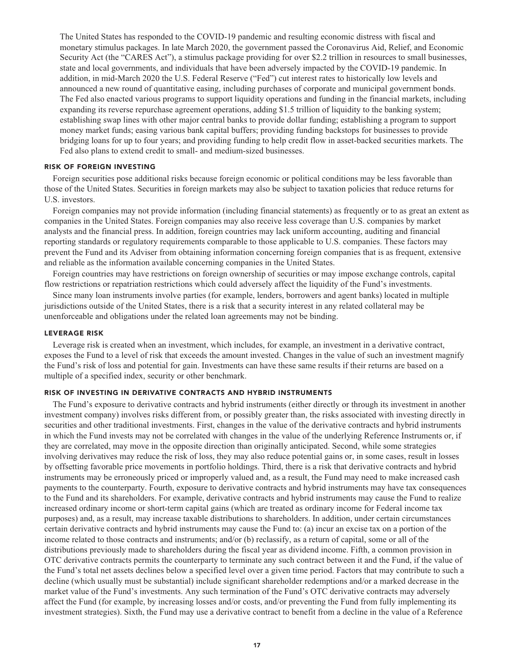**The United States has responded to the COVID-19 pandemic and resulting economic distress with fiscal and monetary stimulus packages. In late March 2020, the government passed the Coronavirus Aid, Relief, and Economic Security Act (the "CARES Act"), a stimulus package providing for over \$2.2 trillion in resources to small businesses, state and local governments, and individuals that have been adversely impacted by the COVID-19 pandemic. In addition, in mid-March 2020 the U.S. Federal Reserve ("Fed") cut interest rates to historically low levels and announced a new round of quantitative easing, including purchases of corporate and municipal government bonds. The Fed also enacted various programs to support liquidity operations and funding in the financial markets, including expanding its reverse repurchase agreement operations, adding \$1.5 trillion of liquidity to the banking system; establishing swap lines with other major central banks to provide dollar funding; establishing a program to support money market funds; easing various bank capital buffers; providing funding backstops for businesses to provide bridging loans for up to four years; and providing funding to help credit flow in asset-backed securities markets. The Fed also plans to extend credit to small- and medium-sized businesses.**

#### **RISK OF FOREIGN INVESTING**

**Foreign securities pose additional risks because foreign economic or political conditions may be less favorable than those of the United States. Securities in foreign markets may also be subject to taxation policies that reduce returns for U.S. investors.**

**Foreign companies may not provide information (including financial statements) as frequently or to as great an extent as companies in the United States. Foreign companies may also receive less coverage than U.S. companies by market analysts and the financial press. In addition, foreign countries may lack uniform accounting, auditing and financial reporting standards or regulatory requirements comparable to those applicable to U.S. companies. These factors may prevent the Fund and its Adviser from obtaining information concerning foreign companies that is as frequent, extensive and reliable as the information available concerning companies in the United States.**

**Foreign countries may have restrictions on foreign ownership of securities or may impose exchange controls, capital flow restrictions or repatriation restrictions which could adversely affect the liquidity of the Fund's investments.**

**Since many loan instruments involve parties (for example, lenders, borrowers and agent banks) located in multiple jurisdictions outside of the United States, there is a risk that a security interest in any related collateral may be unenforceable and obligations under the related loan agreements may not be binding.**

#### **LEVERAGE RISK**

**Leverage risk is created when an investment, which includes, for example, an investment in a derivative contract, exposes the Fund to a level of risk that exceeds the amount invested. Changes in the value of such an investment magnify the Fund's risk of loss and potential for gain. Investments can have these same results if their returns are based on a multiple of a specified index, security or other benchmark.**

### **RISK OF INVESTING IN DERIVATIVE CONTRACTS AND HYBRID INSTRUMENTS**

**The Fund's exposure to derivative contracts and hybrid instruments (either directly or through its investment in another investment company) involves risks different from, or possibly greater than, the risks associated with investing directly in securities and other traditional investments. First, changes in the value of the derivative contracts and hybrid instruments in which the Fund invests may not be correlated with changes in the value of the underlying Reference Instruments or, if they are correlated, may move in the opposite direction than originally anticipated. Second, while some strategies involving derivatives may reduce the risk of loss, they may also reduce potential gains or, in some cases, result in losses by offsetting favorable price movements in portfolio holdings. Third, there is a risk that derivative contracts and hybrid instruments may be erroneously priced or improperly valued and, as a result, the Fund may need to make increased cash payments to the counterparty. Fourth, exposure to derivative contracts and hybrid instruments may have tax consequences to the Fund and its shareholders. For example, derivative contracts and hybrid instruments may cause the Fund to realize increased ordinary income or short-term capital gains (which are treated as ordinary income for Federal income tax purposes) and, as a result, may increase taxable distributions to shareholders. In addition, under certain circumstances certain derivative contracts and hybrid instruments may cause the Fund to: (a) incur an excise tax on a portion of the income related to those contracts and instruments; and/or (b) reclassify, as a return of capital, some or all of the distributions previously made to shareholders during the fiscal year as dividend income. Fifth, a common provision in OTC derivative contracts permits the counterparty to terminate any such contract between it and the Fund, if the value of the Fund's total net assets declines below a specified level over a given time period. Factors that may contribute to such a decline (which usually must be substantial) include significant shareholder redemptions and/or a marked decrease in the market value of the Fund's investments. Any such termination of the Fund's OTC derivative contracts may adversely affect the Fund (for example, by increasing losses and/or costs, and/or preventing the Fund from fully implementing its investment strategies). Sixth, the Fund may use a derivative contract to benefit from a decline in the value of a Reference**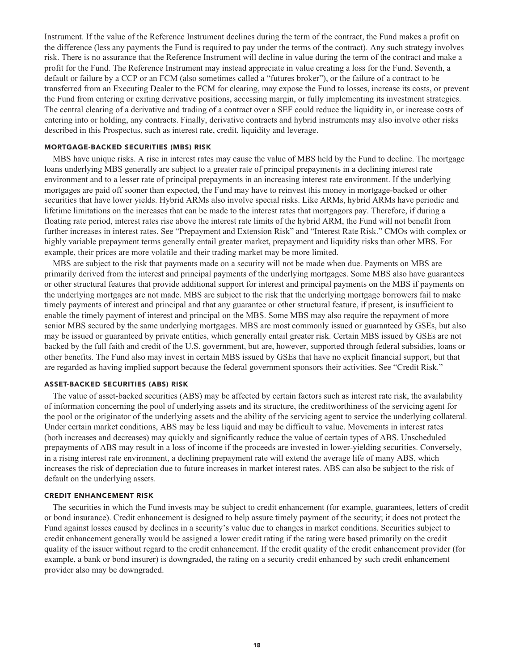**Instrument. If the value of the Reference Instrument declines during the term of the contract, the Fund makes a profit on the difference (less any payments the Fund is required to pay under the terms of the contract). Any such strategy involves risk. There is no assurance that the Reference Instrument will decline in value during the term of the contract and make a profit for the Fund. The Reference Instrument may instead appreciate in value creating a loss for the Fund. Seventh, a default or failure by a CCP or an FCM (also sometimes called a "futures broker"), or the failure of a contract to be transferred from an Executing Dealer to the FCM for clearing, may expose the Fund to losses, increase its costs, or prevent the Fund from entering or exiting derivative positions, accessing margin, or fully implementing its investment strategies. The central clearing of a derivative and trading of a contract over a SEF could reduce the liquidity in, or increase costs of entering into or holding, any contracts. Finally, derivative contracts and hybrid instruments may also involve other risks described in this Prospectus, such as interest rate, credit, liquidity and leverage.**

#### **MORTGAGE-BACKED SECURITIES (MBS) RISK**

**MBS have unique risks. A rise in interest rates may cause the value of MBS held by the Fund to decline. The mortgage loans underlying MBS generally are subject to a greater rate of principal prepayments in a declining interest rate environment and to a lesser rate of principal prepayments in an increasing interest rate environment. If the underlying mortgages are paid off sooner than expected, the Fund may have to reinvest this money in mortgage-backed or other securities that have lower yields. Hybrid ARMs also involve special risks. Like ARMs, hybrid ARMs have periodic and lifetime limitations on the increases that can be made to the interest rates that mortgagors pay. Therefore, if during a floating rate period, interest rates rise above the interest rate limits of the hybrid ARM, the Fund will not benefit from further increases in interest rates. See "Prepayment and Extension Risk" and "Interest Rate Risk." CMOs with complex or highly variable prepayment terms generally entail greater market, prepayment and liquidity risks than other MBS. For example, their prices are more volatile and their trading market may be more limited.**

**MBS are subject to the risk that payments made on a security will not be made when due. Payments on MBS are primarily derived from the interest and principal payments of the underlying mortgages. Some MBS also have guarantees or other structural features that provide additional support for interest and principal payments on the MBS if payments on the underlying mortgages are not made. MBS are subject to the risk that the underlying mortgage borrowers fail to make timely payments of interest and principal and that any guarantee or other structural feature, if present, is insufficient to enable the timely payment of interest and principal on the MBS. Some MBS may also require the repayment of more senior MBS secured by the same underlying mortgages. MBS are most commonly issued or guaranteed by GSEs, but also may be issued or guaranteed by private entities, which generally entail greater risk. Certain MBS issued by GSEs are not backed by the full faith and credit of the U.S. government, but are, however, supported through federal subsidies, loans or other benefits. The Fund also may invest in certain MBS issued by GSEs that have no explicit financial support, but that are regarded as having implied support because the federal government sponsors their activities. See "Credit Risk."**

#### **ASSET-BACKED SECURITIES (ABS) RISK**

**The value of asset-backed securities (ABS) may be affected by certain factors such as interest rate risk, the availability of information concerning the pool of underlying assets and its structure, the creditworthiness of the servicing agent for the pool or the originator of the underlying assets and the ability of the servicing agent to service the underlying collateral. Under certain market conditions, ABS may be less liquid and may be difficult to value. Movements in interest rates (both increases and decreases) may quickly and significantly reduce the value of certain types of ABS. Unscheduled prepayments of ABS may result in a loss of income if the proceeds are invested in lower-yielding securities. Conversely, in a rising interest rate environment, a declining prepayment rate will extend the average life of many ABS, which increases the risk of depreciation due to future increases in market interest rates. ABS can also be subject to the risk of default on the underlying assets.**

### **CREDIT ENHANCEMENT RISK**

**The securities in which the Fund invests may be subject to credit enhancement (for example, guarantees, letters of credit or bond insurance). Credit enhancement is designed to help assure timely payment of the security; it does not protect the Fund against losses caused by declines in a security's value due to changes in market conditions. Securities subject to credit enhancement generally would be assigned a lower credit rating if the rating were based primarily on the credit quality of the issuer without regard to the credit enhancement. If the credit quality of the credit enhancement provider (for example, a bank or bond insurer) is downgraded, the rating on a security credit enhanced by such credit enhancement provider also may be downgraded.**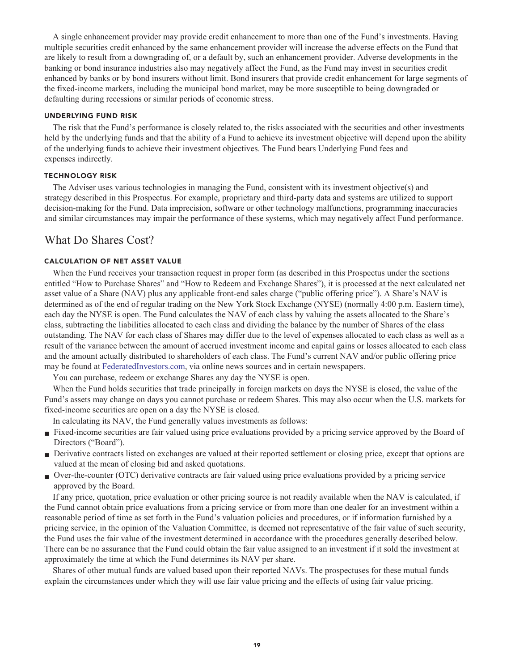**A single enhancement provider may provide credit enhancement to more than one of the Fund's investments. Having multiple securities credit enhanced by the same enhancement provider will increase the adverse effects on the Fund that are likely to result from a downgrading of, or a default by, such an enhancement provider. Adverse developments in the banking or bond insurance industries also may negatively affect the Fund, as the Fund may invest in securities credit enhanced by banks or by bond insurers without limit. Bond insurers that provide credit enhancement for large segments of the fixed-income markets, including the municipal bond market, may be more susceptible to being downgraded or defaulting during recessions or similar periods of economic stress.**

#### **UNDERLYING FUND RISK**

**The risk that the Fund's performance is closely related to, the risks associated with the securities and other investments held by the underlying funds and that the ability of a Fund to achieve its investment objective will depend upon the ability of the underlying funds to achieve their investment objectives. The Fund bears Underlying Fund fees and expenses indirectly.**

#### **TECHNOLOGY RISK**

**The Adviser uses various technologies in managing the Fund, consistent with its investment objective(s) and strategy described in this Prospectus. For example, proprietary and third-party data and systems are utilized to support decision-making for the Fund. Data imprecision, software or other technology malfunctions, programming inaccuracies and similar circumstances may impair the performance of these systems, which may negatively affect Fund performance.**

# **What Do Shares Cost?**

#### **CALCULATION OF NET ASSET VALUE**

**When the Fund receives your transaction request in proper form (as described in this Prospectus under the sections entitled "How to Purchase Shares" and "How to Redeem and Exchange Shares"), it is processed at the next calculated net asset value of a Share (NAV) plus any applicable front-end sales charge ("public offering price"). A Share's NAV is determined as of the end of regular trading on the New York Stock Exchange (NYSE) (normally 4:00 p.m. Eastern time), each day the NYSE is open. The Fund calculates the NAV of each class by valuing the assets allocated to the Share's class, subtracting the liabilities allocated to each class and dividing the balance by the number of Shares of the class outstanding. The NAV for each class of Shares may differ due to the level of expenses allocated to each class as well as a result of the variance between the amount of accrued investment income and capital gains or losses allocated to each class and the amount actually distributed to shareholders of each class. The Fund's current NAV and/or public offering price may be found at [FederatedInvestors.com,](https://www.federatedinvestors.com/home.do) via online news sources and in certain newspapers.**

**You can purchase, redeem or exchange Shares any day the NYSE is open.**

**When the Fund holds securities that trade principally in foreign markets on days the NYSE is closed, the value of the Fund's assets may change on days you cannot purchase or redeem Shares. This may also occur when the U.S. markets for fixed-income securities are open on a day the NYSE is closed.**

**In calculating its NAV, the Fund generally values investments as follows:**

- **■ Fixed-income securities are fair valued using price evaluations provided by a pricing service approved by the Board of Directors ("Board").**
- Derivative contracts listed on exchanges are valued at their reported settlement or closing price, except that options are **valued at the mean of closing bid and asked quotations.**
- **■ Over-the-counter (OTC) derivative contracts are fair valued using price evaluations provided by a pricing service approved by the Board.**

**If any price, quotation, price evaluation or other pricing source is not readily available when the NAV is calculated, if the Fund cannot obtain price evaluations from a pricing service or from more than one dealer for an investment within a reasonable period of time as set forth in the Fund's valuation policies and procedures, or if information furnished by a pricing service, in the opinion of the Valuation Committee, is deemed not representative of the fair value of such security, the Fund uses the fair value of the investment determined in accordance with the procedures generally described below. There can be no assurance that the Fund could obtain the fair value assigned to an investment if it sold the investment at approximately the time at which the Fund determines its NAV per share.**

**Shares of other mutual funds are valued based upon their reported NAVs. The prospectuses for these mutual funds explain the circumstances under which they will use fair value pricing and the effects of using fair value pricing.**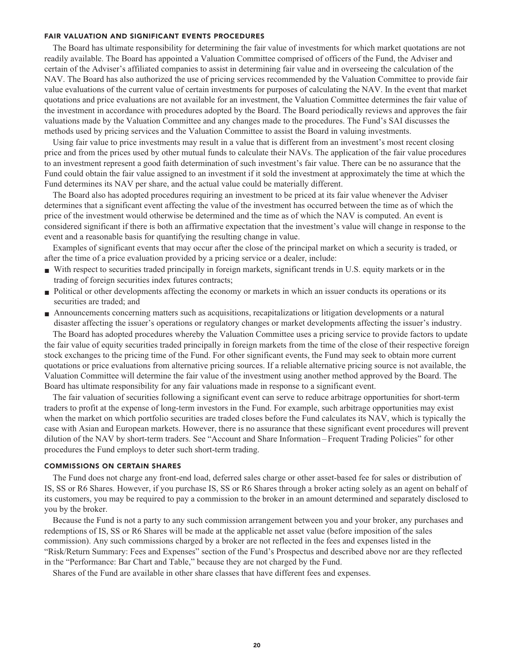#### **FAIR VALUATION AND SIGNIFICANT EVENTS PROCEDURES**

**The Board has ultimate responsibility for determining the fair value of investments for which market quotations are not readily available. The Board has appointed a Valuation Committee comprised of officers of the Fund, the Adviser and certain of the Adviser's affiliated companies to assist in determining fair value and in overseeing the calculation of the NAV. The Board has also authorized the use of pricing services recommended by the Valuation Committee to provide fair value evaluations of the current value of certain investments for purposes of calculating the NAV. In the event that market quotations and price evaluations are not available for an investment, the Valuation Committee determines the fair value of the investment in accordance with procedures adopted by the Board. The Board periodically reviews and approves the fair valuations made by the Valuation Committee and any changes made to the procedures. The Fund's SAI discusses the methods used by pricing services and the Valuation Committee to assist the Board in valuing investments.**

**Using fair value to price investments may result in a value that is different from an investment's most recent closing price and from the prices used by other mutual funds to calculate their NAVs. The application of the fair value procedures to an investment represent a good faith determination of such investment's fair value. There can be no assurance that the Fund could obtain the fair value assigned to an investment if it sold the investment at approximately the time at which the Fund determines its NAV per share, and the actual value could be materially different.**

**The Board also has adopted procedures requiring an investment to be priced at its fair value whenever the Adviser determines that a significant event affecting the value of the investment has occurred between the time as of which the price of the investment would otherwise be determined and the time as of which the NAV is computed. An event is considered significant if there is both an affirmative expectation that the investment's value will change in response to the event and a reasonable basis for quantifying the resulting change in value.**

**Examples of significant events that may occur after the close of the principal market on which a security is traded, or after the time of a price evaluation provided by a pricing service or a dealer, include:**

- **■ With respect to securities traded principally in foreign markets, significant trends in U.S. equity markets or in the trading of foreign securities index futures contracts;**
- **Political or other developments affecting the economy or markets in which an issuer conducts its operations or its securities are traded; and**
- **■ Announcements concerning matters such as acquisitions, recapitalizations or litigation developments or a natural disaster affecting the issuer's operations or regulatory changes or market developments affecting the issuer's industry.**

**The Board has adopted procedures whereby the Valuation Committee uses a pricing service to provide factors to update the fair value of equity securities traded principally in foreign markets from the time of the close of their respective foreign stock exchanges to the pricing time of the Fund. For other significant events, the Fund may seek to obtain more current quotations or price evaluations from alternative pricing sources. If a reliable alternative pricing source is not available, the Valuation Committee will determine the fair value of the investment using another method approved by the Board. The Board has ultimate responsibility for any fair valuations made in response to a significant event.**

**The fair valuation of securities following a significant event can serve to reduce arbitrage opportunities for short-term traders to profit at the expense of long-term investors in the Fund. For example, such arbitrage opportunities may exist when the market on which portfolio securities are traded closes before the Fund calculates its NAV, which is typically the case with Asian and European markets. However, there is no assurance that these significant event procedures will prevent dilution of the NAV by short-term traders. See "Account and Share Information – Frequent Trading Policies" for other procedures the Fund employs to deter such short-term trading.**

#### **COMMISSIONS ON CERTAIN SHARES**

**The Fund does not charge any front-end load, deferred sales charge or other asset-based fee for sales or distribution of IS, SS or R6 Shares. However, if you purchase IS, SS or R6 Shares through a broker acting solely as an agent on behalf of its customers, you may be required to pay a commission to the broker in an amount determined and separately disclosed to you by the broker.**

**Because the Fund is not a party to any such commission arrangement between you and your broker, any purchases and redemptions of IS, SS or R6 Shares will be made at the applicable net asset value (before imposition of the sales commission). Any such commissions charged by a broker are not reflected in the fees and expenses listed in the "Risk/Return Summary: Fees and Expenses" section of the Fund's Prospectus and described above nor are they reflected in the "Performance: Bar Chart and Table," because they are not charged by the Fund.**

**Shares of the Fund are available in other share classes that have different fees and expenses.**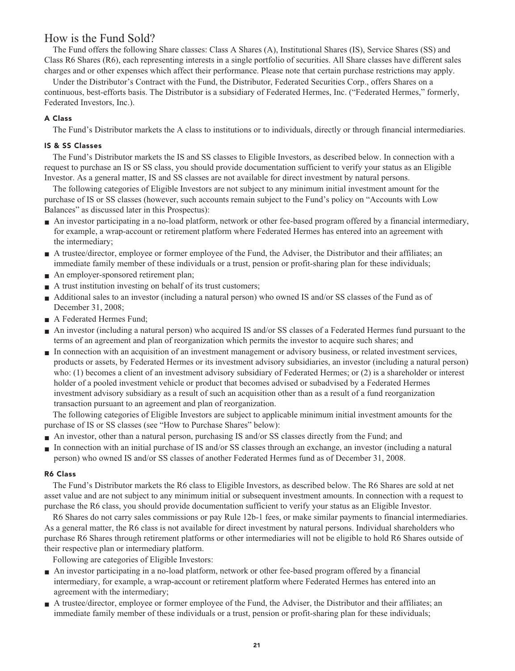# **How is the Fund Sold?**

**The Fund offers the following Share classes: Class A Shares (A), Institutional Shares (IS), Service Shares (SS) and Class R6 Shares (R6), each representing interests in a single portfolio of securities. All Share classes have different sales charges and or other expenses which affect their performance. Please note that certain purchase restrictions may apply.**

**Under the Distributor's Contract with the Fund, the Distributor, Federated Securities Corp., offers Shares on a continuous, best-efforts basis. The Distributor is a subsidiary of Federated Hermes, Inc. ("Federated Hermes," formerly, Federated Investors, Inc.).**

# **A Class**

**The Fund's Distributor markets the A class to institutions or to individuals, directly or through financial intermediaries.**

# **IS & SS Classes**

**The Fund's Distributor markets the IS and SS classes to Eligible Investors, as described below. In connection with a request to purchase an IS or SS class, you should provide documentation sufficient to verify your status as an Eligible Investor. As a general matter, IS and SS classes are not available for direct investment by natural persons.**

**The following categories of Eligible Investors are not subject to any minimum initial investment amount for the purchase of IS or SS classes (however, such accounts remain subject to the Fund's policy on "Accounts with Low Balances" as discussed later in this Prospectus):**

- An investor participating in a no-load platform, network or other fee-based program offered by a financial intermediary, **for example, a wrap-account or retirement platform where Federated Hermes has entered into an agreement with the intermediary;**
- A trustee/director, employee or former employee of the Fund, the Adviser, the Distributor and their affiliates; an **immediate family member of these individuals or a trust, pension or profit-sharing plan for these individuals;**
- **An employer-sponsored retirement plan;**
- **■ A trust institution investing on behalf of its trust customers;**
- **Additional sales to an investor (including a natural person)** who owned IS and/or SS classes of the Fund as of **December 31, 2008;**
- **■ A Federated Hermes Fund;**
- **■ An investor (including a natural person) who acquired IS and/or SS classes of a Federated Hermes fund pursuant to the terms of an agreement and plan of reorganization which permits the investor to acquire such shares; and**
- **■ In connection with an acquisition of an investment management or advisory business, or related investment services, products or assets, by Federated Hermes or its investment advisory subsidiaries, an investor (including a natural person) who: (1) becomes a client of an investment advisory subsidiary of Federated Hermes; or (2) is a shareholder or interest holder of a pooled investment vehicle or product that becomes advised or subadvised by a Federated Hermes investment advisory subsidiary as a result of such an acquisition other than as a result of a fund reorganization transaction pursuant to an agreement and plan of reorganization.**

**The following categories of Eligible Investors are subject to applicable minimum initial investment amounts for the purchase of IS or SS classes (see "How to Purchase Shares" below):**

- **■ An investor, other than a natural person, purchasing IS and/or SS classes directly from the Fund; and**
- **■ In connection with an initial purchase of IS and/or SS classes through an exchange, an investor (including a natural person) who owned IS and/or SS classes of another Federated Hermes fund as of December 31, 2008.**

# **R6 Class**

**The Fund's Distributor markets the R6 class to Eligible Investors, as described below. The R6 Shares are sold at net asset value and are not subject to any minimum initial or subsequent investment amounts. In connection with a request to purchase the R6 class, you should provide documentation sufficient to verify your status as an Eligible Investor.**

**R6 Shares do not carry sales commissions or pay Rule 12b-1 fees, or make similar payments to financial intermediaries. As a general matter, the R6 class is not available for direct investment by natural persons. Individual shareholders who purchase R6 Shares through retirement platforms or other intermediaries will not be eligible to hold R6 Shares outside of their respective plan or intermediary platform.**

**Following are categories of Eligible Investors:**

- **■ An investor participating in a no-load platform, network or other fee-based program offered by a financial intermediary, for example, a wrap-account or retirement platform where Federated Hermes has entered into an agreement with the intermediary;**
- **■ A trustee/director, employee or former employee of the Fund, the Adviser, the Distributor and their affiliates; an immediate family member of these individuals or a trust, pension or profit-sharing plan for these individuals;**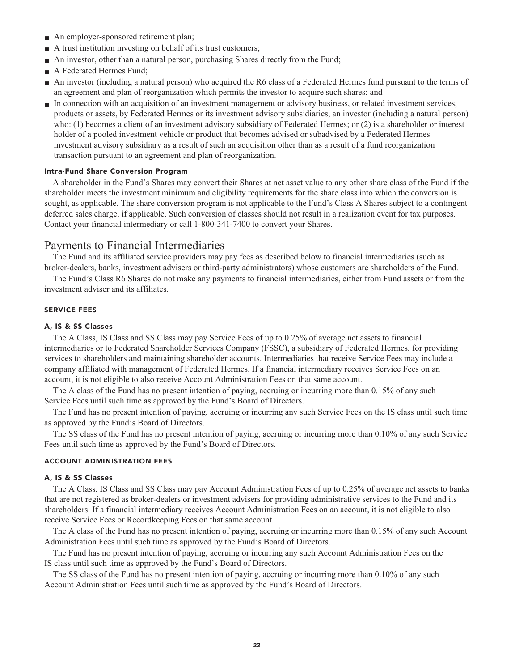- **An employer-sponsored retirement plan;**
- **■ A trust institution investing on behalf of its trust customers;**
- An investor, other than a natural person, purchasing Shares directly from the Fund;
- **■ A Federated Hermes Fund;**
- **■ An investor (including a natural person) who acquired the R6 class of a Federated Hermes fund pursuant to the terms of an agreement and plan of reorganization which permits the investor to acquire such shares; and**
- **■ In connection with an acquisition of an investment management or advisory business, or related investment services, products or assets, by Federated Hermes or its investment advisory subsidiaries, an investor (including a natural person) who: (1) becomes a client of an investment advisory subsidiary of Federated Hermes; or (2) is a shareholder or interest holder of a pooled investment vehicle or product that becomes advised or subadvised by a Federated Hermes investment advisory subsidiary as a result of such an acquisition other than as a result of a fund reorganization transaction pursuant to an agreement and plan of reorganization.**

#### **Intra-Fund Share Conversion Program**

**A shareholder in the Fund's Shares may convert their Shares at net asset value to any other share class of the Fund if the shareholder meets the investment minimum and eligibility requirements for the share class into which the conversion is sought, as applicable. The share conversion program is not applicable to the Fund's Class A Shares subject to a contingent deferred sales charge, if applicable. Such conversion of classes should not result in a realization event for tax purposes. Contact your financial intermediary or call 1-800-341-7400 to convert your Shares.**

# **Payments to Financial Intermediaries**

**The Fund and its affiliated service providers may pay fees as described below to financial intermediaries (such as broker-dealers, banks, investment advisers or third-party administrators) whose customers are shareholders of the Fund.**

**The Fund's Class R6 Shares do not make any payments to financial intermediaries, either from Fund assets or from the investment adviser and its affiliates.**

#### **SERVICE FEES**

#### **A, IS & SS Classes**

**The A Class, IS Class and SS Class may pay Service Fees of up to 0.25% of average net assets to financial intermediaries or to Federated Shareholder Services Company (FSSC), a subsidiary of Federated Hermes, for providing services to shareholders and maintaining shareholder accounts. Intermediaries that receive Service Fees may include a company affiliated with management of Federated Hermes. If a financial intermediary receives Service Fees on an account, it is not eligible to also receive Account Administration Fees on that same account.**

**The A class of the Fund has no present intention of paying, accruing or incurring more than 0.15% of any such Service Fees until such time as approved by the Fund's Board of Directors.**

**The Fund has no present intention of paying, accruing or incurring any such Service Fees on the IS class until such time as approved by the Fund's Board of Directors.**

**The SS class of the Fund has no present intention of paying, accruing or incurring more than 0.10% of any such Service Fees until such time as approved by the Fund's Board of Directors.**

#### **ACCOUNT ADMINISTRATION FEES**

#### **A, IS & SS Classes**

**The A Class, IS Class and SS Class may pay Account Administration Fees of up to 0.25% of average net assets to banks that are not registered as broker-dealers or investment advisers for providing administrative services to the Fund and its shareholders. If a financial intermediary receives Account Administration Fees on an account, it is not eligible to also receive Service Fees or Recordkeeping Fees on that same account.**

**The A class of the Fund has no present intention of paying, accruing or incurring more than 0.15% of any such Account Administration Fees until such time as approved by the Fund's Board of Directors.**

**The Fund has no present intention of paying, accruing or incurring any such Account Administration Fees on the IS class until such time as approved by the Fund's Board of Directors.**

**The SS class of the Fund has no present intention of paying, accruing or incurring more than 0.10% of any such Account Administration Fees until such time as approved by the Fund's Board of Directors.**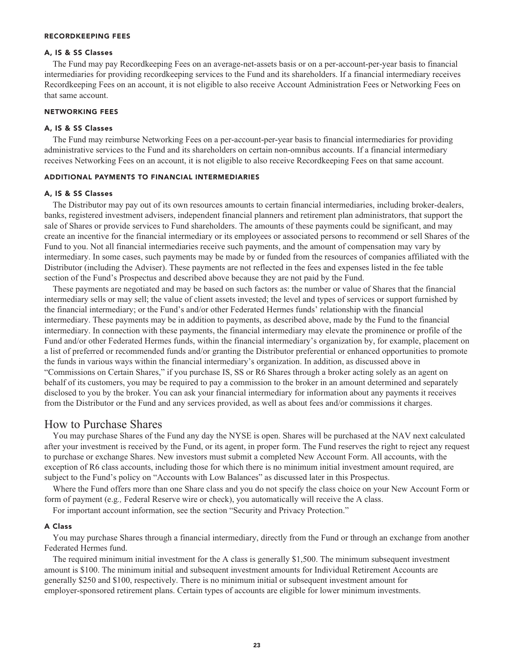#### **RECORDKEEPING FEES**

#### **A, IS & SS Classes**

**The Fund may pay Recordkeeping Fees on an average-net-assets basis or on a per-account-per-year basis to financial intermediaries for providing recordkeeping services to the Fund and its shareholders. If a financial intermediary receives Recordkeeping Fees on an account, it is not eligible to also receive Account Administration Fees or Networking Fees on that same account.**

#### **NETWORKING FEES**

#### **A, IS & SS Classes**

**The Fund may reimburse Networking Fees on a per-account-per-year basis to financial intermediaries for providing administrative services to the Fund and its shareholders on certain non-omnibus accounts. If a financial intermediary receives Networking Fees on an account, it is not eligible to also receive Recordkeeping Fees on that same account.**

#### **ADDITIONAL PAYMENTS TO FINANCIAL INTERMEDIARIES**

#### **A, IS & SS Classes**

**The Distributor may pay out of its own resources amounts to certain financial intermediaries, including broker-dealers, banks, registered investment advisers, independent financial planners and retirement plan administrators, that support the sale of Shares or provide services to Fund shareholders. The amounts of these payments could be significant, and may create an incentive for the financial intermediary or its employees or associated persons to recommend or sell Shares of the Fund to you. Not all financial intermediaries receive such payments, and the amount of compensation may vary by intermediary. In some cases, such payments may be made by or funded from the resources of companies affiliated with the Distributor (including the Adviser). These payments are not reflected in the fees and expenses listed in the fee table section of the Fund's Prospectus and described above because they are not paid by the Fund.**

**These payments are negotiated and may be based on such factors as: the number or value of Shares that the financial intermediary sells or may sell; the value of client assets invested; the level and types of services or support furnished by the financial intermediary; or the Fund's and/or other Federated Hermes funds' relationship with the financial intermediary. These payments may be in addition to payments, as described above, made by the Fund to the financial intermediary. In connection with these payments, the financial intermediary may elevate the prominence or profile of the Fund and/or other Federated Hermes funds, within the financial intermediary's organization by, for example, placement on a list of preferred or recommended funds and/or granting the Distributor preferential or enhanced opportunities to promote the funds in various ways within the financial intermediary's organization. In addition, as discussed above in "Commissions on Certain Shares," if you purchase IS, SS or R6 Shares through a broker acting solely as an agent on behalf of its customers, you may be required to pay a commission to the broker in an amount determined and separately disclosed to you by the broker. You can ask your financial intermediary for information about any payments it receives from the Distributor or the Fund and any services provided, as well as about fees and/or commissions it charges.**

# **How to Purchase Shares**

**You may purchase Shares of the Fund any day the NYSE is open. Shares will be purchased at the NAV next calculated after your investment is received by the Fund, or its agent, in proper form. The Fund reserves the right to reject any request to purchase or exchange Shares. New investors must submit a completed New Account Form. All accounts, with the exception of R6 class accounts, including those for which there is no minimum initial investment amount required, are subject to the Fund's policy on "Accounts with Low Balances" as discussed later in this Prospectus.**

**Where the Fund offers more than one Share class and you do not specify the class choice on your New Account Form or form of payment (e.g***.,* **Federal Reserve wire or check), you automatically will receive the A class.**

**For important account information, see the section "Security and Privacy Protection."**

#### **A Class**

**You may purchase Shares through a financial intermediary, directly from the Fund or through an exchange from another Federated Hermes fund.**

**The required minimum initial investment for the A class is generally \$1,500. The minimum subsequent investment amount is \$100. The minimum initial and subsequent investment amounts for Individual Retirement Accounts are generally \$250 and \$100, respectively. There is no minimum initial or subsequent investment amount for employer-sponsored retirement plans. Certain types of accounts are eligible for lower minimum investments.**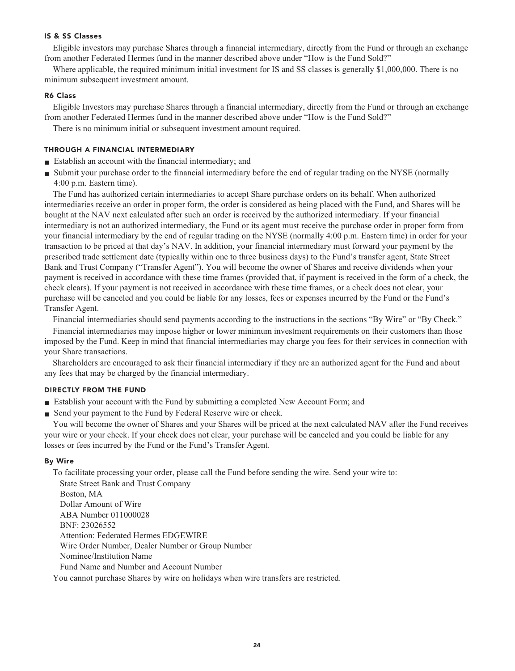#### **IS & SS Classes**

**Eligible investors may purchase Shares through a financial intermediary, directly from the Fund or through an exchange from another Federated Hermes fund in the manner described above under "How is the Fund Sold?"**

**Where applicable, the required minimum initial investment for IS and SS classes is generally \$1,000,000. There is no minimum subsequent investment amount.**

#### **R6 Class**

**Eligible Investors may purchase Shares through a financial intermediary, directly from the Fund or through an exchange from another Federated Hermes fund in the manner described above under "How is the Fund Sold?"**

**There is no minimum initial or subsequent investment amount required.**

#### **THROUGH A FINANCIAL INTERMEDIARY**

- **■ Establish an account with the financial intermediary; and**
- **■ Submit your purchase order to the financial intermediary before the end of regular trading on the NYSE (normally 4:00 p.m. Eastern time).**

**The Fund has authorized certain intermediaries to accept Share purchase orders on its behalf. When authorized intermediaries receive an order in proper form, the order is considered as being placed with the Fund, and Shares will be bought at the NAV next calculated after such an order is received by the authorized intermediary. If your financial intermediary is not an authorized intermediary, the Fund or its agent must receive the purchase order in proper form from your financial intermediary by the end of regular trading on the NYSE (normally 4:00 p.m. Eastern time) in order for your transaction to be priced at that day's NAV. In addition, your financial intermediary must forward your payment by the prescribed trade settlement date (typically within one to three business days) to the Fund's transfer agent, State Street Bank and Trust Company ("Transfer Agent"). You will become the owner of Shares and receive dividends when your payment is received in accordance with these time frames (provided that, if payment is received in the form of a check, the check clears). If your payment is not received in accordance with these time frames, or a check does not clear, your purchase will be canceled and you could be liable for any losses, fees or expenses incurred by the Fund or the Fund's Transfer Agent.**

**Financial intermediaries should send payments according to the instructions in the sections "By Wire" or "By Check."**

**Financial intermediaries may impose higher or lower minimum investment requirements on their customers than those imposed by the Fund. Keep in mind that financial intermediaries may charge you fees for their services in connection with your Share transactions.**

**Shareholders are encouraged to ask their financial intermediary if they are an authorized agent for the Fund and about any fees that may be charged by the financial intermediary.**

### **DIRECTLY FROM THE FUND**

- **■ Establish your account with the Fund by submitting a completed New Account Form; and**
- **Send your payment to the Fund by Federal Reserve wire or check.**

**You will become the owner of Shares and your Shares will be priced at the next calculated NAV after the Fund receives your wire or your check. If your check does not clear, your purchase will be canceled and you could be liable for any losses or fees incurred by the Fund or the Fund's Transfer Agent.**

#### **By Wire**

**To facilitate processing your order, please call the Fund before sending the wire. Send your wire to: State Street Bank and Trust Company Boston, MA Dollar Amount of Wire ABA Number 011000028 BNF: 23026552 Attention: Federated Hermes EDGEWIRE Wire Order Number, Dealer Number or Group Number Nominee/Institution Name Fund Name and Number and Account Number**

**You cannot purchase Shares by wire on holidays when wire transfers are restricted.**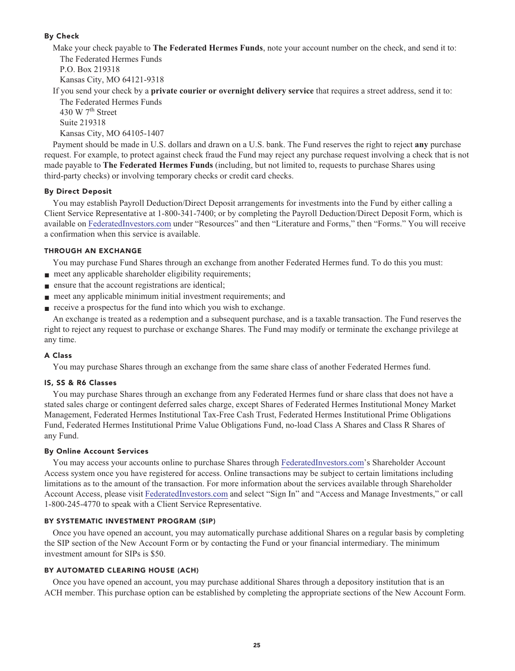# **By Check**

**Make your check payable to The Federated Hermes Funds, note your account number on the check, and send it to: The Federated Hermes Funds P.O. Box 219318**

**Kansas City, MO 64121-9318**

**If you send your check by a private courier or overnight delivery service that requires a street address, send it to:**

**The Federated Hermes Funds th 430 W 7 Street Suite 219318 Kansas City, MO 64105-1407**

**Payment should be made in U.S. dollars and drawn on a U.S. bank. The Fund reserves the right to reject any purchase request. For example, to protect against check fraud the Fund may reject any purchase request involving a check that is not made payable to The Federated Hermes Funds (including, but not limited to, requests to purchase Shares using third-party checks) or involving temporary checks or credit card checks.**

#### **By Direct Deposit**

**You may establish Payroll Deduction/Direct Deposit arrangements for investments into the Fund by either calling a Client Service Representative at 1-800-341-7400; or by completing the Payroll Deduction/Direct Deposit Form, which is available on [FederatedInvestors.com](https://www.federatedinvestors.com/home.do) under "Resources" and then "Literature and Forms," then "Forms." You will receive a confirmation when this service is available.**

#### **THROUGH AN EXCHANGE**

**You may purchase Fund Shares through an exchange from another Federated Hermes fund. To do this you must:**

- **meet any applicable shareholder eligibility requirements;**
- **■ ensure that the account registrations are identical;**
- **meet any applicable minimum initial investment requirements; and**
- **receive a prospectus for the fund into which you wish to exchange.**

**An exchange is treated as a redemption and a subsequent purchase, and is a taxable transaction. The Fund reserves the right to reject any request to purchase or exchange Shares. The Fund may modify or terminate the exchange privilege at any time.**

#### **A Class**

**You may purchase Shares through an exchange from the same share class of another Federated Hermes fund.**

#### **IS, SS & R6 Classes**

**You may purchase Shares through an exchange from any Federated Hermes fund or share class that does not have a stated sales charge or contingent deferred sales charge, except Shares of Federated Hermes Institutional Money Market Management, Federated Hermes Institutional Tax-Free Cash Trust, Federated Hermes Institutional Prime Obligations Fund, Federated Hermes Institutional Prime Value Obligations Fund, no-load Class A Shares and Class R Shares of any Fund.**

#### **By Online Account Services**

**You may access your accounts online to purchase Shares through [FederatedInvestors.com'](https://www.federatedinvestors.com/home.do)s Shareholder Account Access system once you have registered for access. Online transactions may be subject to certain limitations including limitations as to the amount of the transaction. For more information about the services available through Shareholder Account Access, please visit [FederatedInvestors.com](https://www.federatedinvestors.com/home.do) and select "Sign In" and "Access and Manage Investments," or call 1-800-245-4770 to speak with a Client Service Representative.**

#### **BY SYSTEMATIC INVESTMENT PROGRAM (SIP)**

**Once you have opened an account, you may automatically purchase additional Shares on a regular basis by completing the SIP section of the New Account Form or by contacting the Fund or your financial intermediary. The minimum investment amount for SIPs is \$50.**

#### **BY AUTOMATED CLEARING HOUSE (ACH)**

**Once you have opened an account, you may purchase additional Shares through a depository institution that is an ACH member. This purchase option can be established by completing the appropriate sections of the New Account Form.**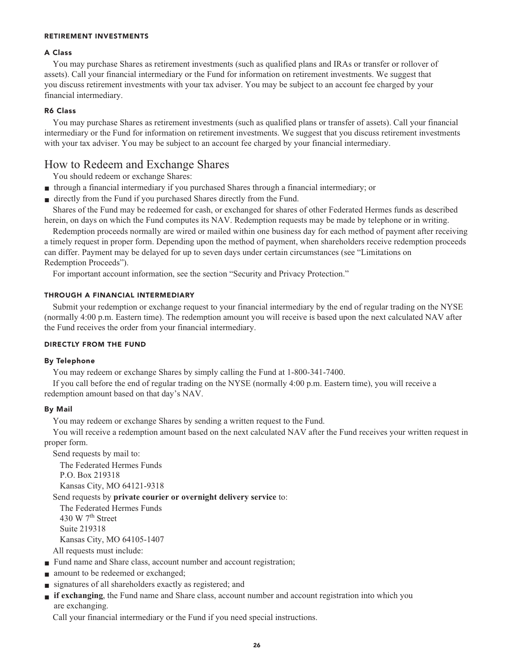#### **RETIREMENT INVESTMENTS**

#### **A Class**

**You may purchase Shares as retirement investments (such as qualified plans and IRAs or transfer or rollover of assets). Call your financial intermediary or the Fund for information on retirement investments. We suggest that you discuss retirement investments with your tax adviser. You may be subject to an account fee charged by your financial intermediary.**

#### **R6 Class**

**You may purchase Shares as retirement investments (such as qualified plans or transfer of assets). Call your financial intermediary or the Fund for information on retirement investments. We suggest that you discuss retirement investments with your tax adviser. You may be subject to an account fee charged by your financial intermediary.**

# **How to Redeem and Exchange Shares**

**You should redeem or exchange Shares:**

- **■ through a financial intermediary if you purchased Shares through a financial intermediary; or**
- **■ directly from the Fund if you purchased Shares directly from the Fund.**

**Shares of the Fund may be redeemed for cash, or exchanged for shares of other Federated Hermes funds as described herein, on days on which the Fund computes its NAV. Redemption requests may be made by telephone or in writing.**

**Redemption proceeds normally are wired or mailed within one business day for each method of payment after receiving a timely request in proper form. Depending upon the method of payment, when shareholders receive redemption proceeds can differ. Payment may be delayed for up to seven days under certain circumstances (see "Limitations on Redemption Proceeds").**

**For important account information, see the section "Security and Privacy Protection."**

#### **THROUGH A FINANCIAL INTERMEDIARY**

**Submit your redemption or exchange request to your financial intermediary by the end of regular trading on the NYSE (normally 4:00 p.m. Eastern time). The redemption amount you will receive is based upon the next calculated NAV after the Fund receives the order from your financial intermediary.**

#### **DIRECTLY FROM THE FUND**

#### **By Telephone**

**You may redeem or exchange Shares by simply calling the Fund at 1-800-341-7400.**

**If you call before the end of regular trading on the NYSE (normally 4:00 p.m. Eastern time), you will receive a redemption amount based on that day's NAV.**

#### **By Mail**

**You may redeem or exchange Shares by sending a written request to the Fund.**

**You will receive a redemption amount based on the next calculated NAV after the Fund receives your written request in proper form.**

**Send requests by mail to:**

**The Federated Hermes Funds P.O. Box 219318 Kansas City, MO 64121-9318**

#### **Send requests by private courier or overnight delivery service to:**

**The Federated Hermes Funds th 430 W 7 Street Suite 219318 Kansas City, MO 64105-1407 All requests must include:**

- **Fund name and Share class, account number and account registration;**
- **amount** to be redeemed or exchanged;
- **■ signatures of all shareholders exactly as registered; and**
- **■ if exchanging, the Fund name and Share class, account number and account registration into which you are exchanging.**

**Call your financial intermediary or the Fund if you need special instructions.**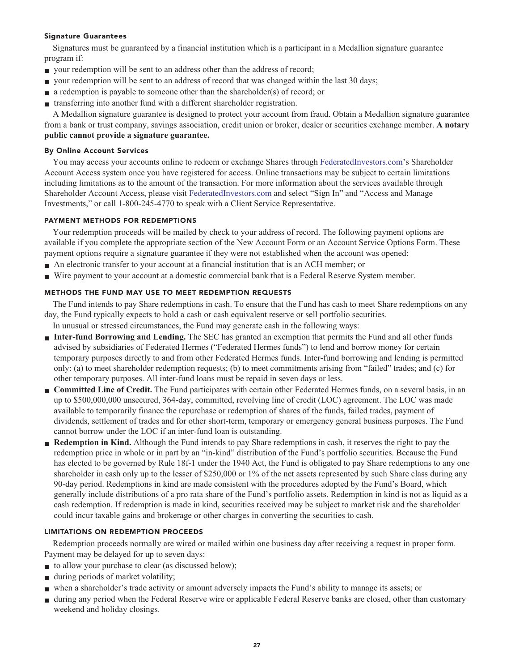#### **Signature Guarantees**

**Signatures must be guaranteed by a financial institution which is a participant in a Medallion signature guarantee program if:**

- **your redemption will be sent to an address other than the address of record;**
- **your redemption will be sent to an address of record that was changed within the last 30 days;**
- **■ a redemption is payable to someone other than the shareholder(s) of record; or**
- **■ transferring into another fund with a different shareholder registration.**

**A Medallion signature guarantee is designed to protect your account from fraud. Obtain a Medallion signature guarantee from a bank or trust company, savings association, credit union or broker, dealer or securities exchange member. A notary public cannot provide a signature guarantee.**

#### **By Online Account Services**

**You may access your accounts online to redeem or exchange Shares through [FederatedInvestors.com'](https://www.federatedinvestors.com/home.do)s Shareholder Account Access system once you have registered for access. Online transactions may be subject to certain limitations including limitations as to the amount of the transaction. For more information about the services available through Shareholder Account Access, please visit [FederatedInvestors.com](https://www.federatedinvestors.com/home.do) and select "Sign In" and "Access and Manage Investments," or call 1-800-245-4770 to speak with a Client Service Representative.**

# **PAYMENT METHODS FOR REDEMPTIONS**

**Your redemption proceeds will be mailed by check to your address of record. The following payment options are available if you complete the appropriate section of the New Account Form or an Account Service Options Form. These payment options require a signature guarantee if they were not established when the account was opened:**

- **■ An electronic transfer to your account at a financial institution that is an ACH member; or**
- **■ Wire payment to your account at a domestic commercial bank that is a Federal Reserve System member.**

# **METHODS THE FUND MAY USE TO MEET REDEMPTION REQUESTS**

**The Fund intends to pay Share redemptions in cash. To ensure that the Fund has cash to meet Share redemptions on any day, the Fund typically expects to hold a cash or cash equivalent reserve or sell portfolio securities.**

**In unusual or stressed circumstances, the Fund may generate cash in the following ways:**

- **■ Inter-fund Borrowing and Lending. The SEC has granted an exemption that permits the Fund and all other funds advised by subsidiaries of Federated Hermes ("Federated Hermes funds") to lend and borrow money for certain temporary purposes directly to and from other Federated Hermes funds. Inter-fund borrowing and lending is permitted only: (a) to meet shareholder redemption requests; (b) to meet commitments arising from "failed" trades; and (c) for other temporary purposes. All inter-fund loans must be repaid in seven days or less.**
- **Committed Line of Credit.** The Fund participates with certain other Federated Hermes funds, on a several basis, in an **up to \$500,000,000 unsecured, 364-day, committed, revolving line of credit (LOC) agreement. The LOC was made available to temporarily finance the repurchase or redemption of shares of the funds, failed trades, payment of dividends, settlement of trades and for other short-term, temporary or emergency general business purposes. The Fund cannot borrow under the LOC if an inter-fund loan is outstanding.**
- **Redemption in Kind.** Although the Fund intends to pay Share redemptions in cash, it reserves the right to pay the **redemption price in whole or in part by an "in-kind" distribution of the Fund's portfolio securities. Because the Fund has elected to be governed by Rule 18f-1 under the 1940 Act, the Fund is obligated to pay Share redemptions to any one shareholder in cash only up to the lesser of \$250,000 or 1% of the net assets represented by such Share class during any 90-day period. Redemptions in kind are made consistent with the procedures adopted by the Fund's Board, which generally include distributions of a pro rata share of the Fund's portfolio assets. Redemption in kind is not as liquid as a cash redemption. If redemption is made in kind, securities received may be subject to market risk and the shareholder could incur taxable gains and brokerage or other charges in converting the securities to cash.**

#### **LIMITATIONS ON REDEMPTION PROCEEDS**

**Redemption proceeds normally are wired or mailed within one business day after receiving a request in proper form. Payment may be delayed for up to seven days:**

- **to allow your purchase to clear (as discussed below);**
- **■ during periods of market volatility;**
- **■ when a shareholder's trade activity or amount adversely impacts the Fund's ability to manage its assets; or**
- **■ during any period when the Federal Reserve wire or applicable Federal Reserve banks are closed, other than customary weekend and holiday closings.**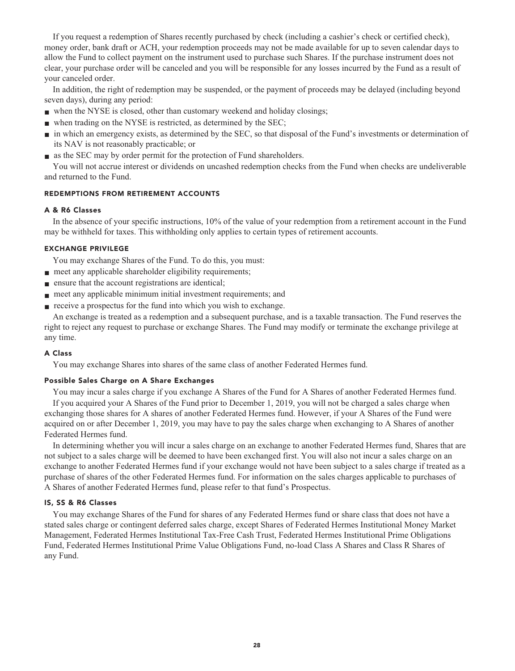**If you request a redemption of Shares recently purchased by check (including a cashier's check or certified check), money order, bank draft or ACH, your redemption proceeds may not be made available for up to seven calendar days to allow the Fund to collect payment on the instrument used to purchase such Shares. If the purchase instrument does not clear, your purchase order will be canceled and you will be responsible for any losses incurred by the Fund as a result of your canceled order.**

**In addition, the right of redemption may be suspended, or the payment of proceeds may be delayed (including beyond seven days), during any period:**

- when the NYSE is closed, other than customary weekend and holiday closings;
- when trading on the NYSE is restricted, as determined by the SEC;
- **■ in which an emergency exists, as determined by the SEC, so that disposal of the Fund's investments or determination of its NAV is not reasonably practicable; or**
- **■ as the SEC may by order permit for the protection of Fund shareholders.**

**You will not accrue interest or dividends on uncashed redemption checks from the Fund when checks are undeliverable and returned to the Fund.**

#### **REDEMPTIONS FROM RETIREMENT ACCOUNTS**

#### **A & R6 Classes**

**In the absence of your specific instructions, 10% of the value of your redemption from a retirement account in the Fund may be withheld for taxes. This withholding only applies to certain types of retirement accounts.**

#### **EXCHANGE PRIVILEGE**

**You may exchange Shares of the Fund. To do this, you must:**

- **meet any applicable shareholder eligibility requirements;**
- **■ ensure that the account registrations are identical;**
- **meet any applicable minimum initial investment requirements; and**
- **receive a prospectus for the fund into which you wish to exchange.**

**An exchange is treated as a redemption and a subsequent purchase, and is a taxable transaction. The Fund reserves the right to reject any request to purchase or exchange Shares. The Fund may modify or terminate the exchange privilege at any time.**

#### **A Class**

**You may exchange Shares into shares of the same class of another Federated Hermes fund.**

#### **Possible Sales Charge on A Share Exchanges**

**You may incur a sales charge if you exchange A Shares of the Fund for A Shares of another Federated Hermes fund. If you acquired your A Shares of the Fund prior to December 1, 2019, you will not be charged a sales charge when exchanging those shares for A shares of another Federated Hermes fund. However, if your A Shares of the Fund were acquired on or after December 1, 2019, you may have to pay the sales charge when exchanging to A Shares of another Federated Hermes fund.**

**In determining whether you will incur a sales charge on an exchange to another Federated Hermes fund, Shares that are not subject to a sales charge will be deemed to have been exchanged first. You will also not incur a sales charge on an exchange to another Federated Hermes fund if your exchange would not have been subject to a sales charge if treated as a purchase of shares of the other Federated Hermes fund. For information on the sales charges applicable to purchases of A Shares of another Federated Hermes fund, please refer to that fund's Prospectus.**

#### **IS, SS & R6 Classes**

**You may exchange Shares of the Fund for shares of any Federated Hermes fund or share class that does not have a stated sales charge or contingent deferred sales charge, except Shares of Federated Hermes Institutional Money Market Management, Federated Hermes Institutional Tax-Free Cash Trust, Federated Hermes Institutional Prime Obligations Fund, Federated Hermes Institutional Prime Value Obligations Fund, no-load Class A Shares and Class R Shares of any Fund.**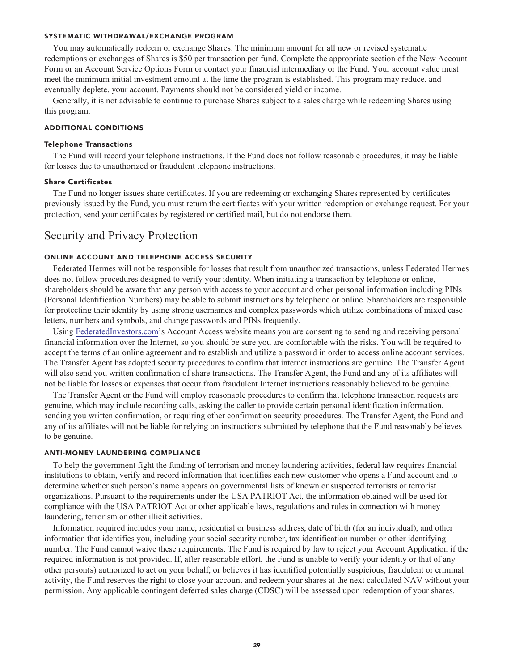#### **SYSTEMATIC WITHDRAWAL/EXCHANGE PROGRAM**

**You may automatically redeem or exchange Shares. The minimum amount for all new or revised systematic redemptions or exchanges of Shares is \$50 per transaction per fund. Complete the appropriate section of the New Account Form or an Account Service Options Form or contact your financial intermediary or the Fund. Your account value must meet the minimum initial investment amount at the time the program is established. This program may reduce, and eventually deplete, your account. Payments should not be considered yield or income.**

**Generally, it is not advisable to continue to purchase Shares subject to a sales charge while redeeming Shares using this program.**

### **ADDITIONAL CONDITIONS**

#### **Telephone Transactions**

**The Fund will record your telephone instructions. If the Fund does not follow reasonable procedures, it may be liable for losses due to unauthorized or fraudulent telephone instructions.**

#### **Share Certificates**

**The Fund no longer issues share certificates. If you are redeeming or exchanging Shares represented by certificates previously issued by the Fund, you must return the certificates with your written redemption or exchange request. For your protection, send your certificates by registered or certified mail, but do not endorse them.**

# **Security and Privacy Protection**

#### **ONLINE ACCOUNT AND TELEPHONE ACCESS SECURITY**

**Federated Hermes will not be responsible for losses that result from unauthorized transactions, unless Federated Hermes does not follow procedures designed to verify your identity. When initiating a transaction by telephone or online, shareholders should be aware that any person with access to your account and other personal information including PINs (Personal Identification Numbers) may be able to submit instructions by telephone or online. Shareholders are responsible for protecting their identity by using strong usernames and complex passwords which utilize combinations of mixed case letters, numbers and symbols, and change passwords and PINs frequently.**

**Using [FederatedInvestors.com'](https://www.federatedinvestors.com/home.do)s Account Access website means you are consenting to sending and receiving personal financial information over the Internet, so you should be sure you are comfortable with the risks. You will be required to accept the terms of an online agreement and to establish and utilize a password in order to access online account services. The Transfer Agent has adopted security procedures to confirm that internet instructions are genuine. The Transfer Agent will also send you written confirmation of share transactions. The Transfer Agent, the Fund and any of its affiliates will not be liable for losses or expenses that occur from fraudulent Internet instructions reasonably believed to be genuine.**

**The Transfer Agent or the Fund will employ reasonable procedures to confirm that telephone transaction requests are genuine, which may include recording calls, asking the caller to provide certain personal identification information, sending you written confirmation, or requiring other confirmation security procedures. The Transfer Agent, the Fund and any of its affiliates will not be liable for relying on instructions submitted by telephone that the Fund reasonably believes to be genuine.**

#### **ANTI-MONEY LAUNDERING COMPLIANCE**

**To help the government fight the funding of terrorism and money laundering activities, federal law requires financial institutions to obtain, verify and record information that identifies each new customer who opens a Fund account and to determine whether such person's name appears on governmental lists of known or suspected terrorists or terrorist organizations. Pursuant to the requirements under the USA PATRIOT Act, the information obtained will be used for compliance with the USA PATRIOT Act or other applicable laws, regulations and rules in connection with money laundering, terrorism or other illicit activities.**

**Information required includes your name, residential or business address, date of birth (for an individual), and other information that identifies you, including your social security number, tax identification number or other identifying number. The Fund cannot waive these requirements. The Fund is required by law to reject your Account Application if the required information is not provided. If, after reasonable effort, the Fund is unable to verify your identity or that of any other person(s) authorized to act on your behalf, or believes it has identified potentially suspicious, fraudulent or criminal activity, the Fund reserves the right to close your account and redeem your shares at the next calculated NAV without your permission. Any applicable contingent deferred sales charge (CDSC) will be assessed upon redemption of your shares.**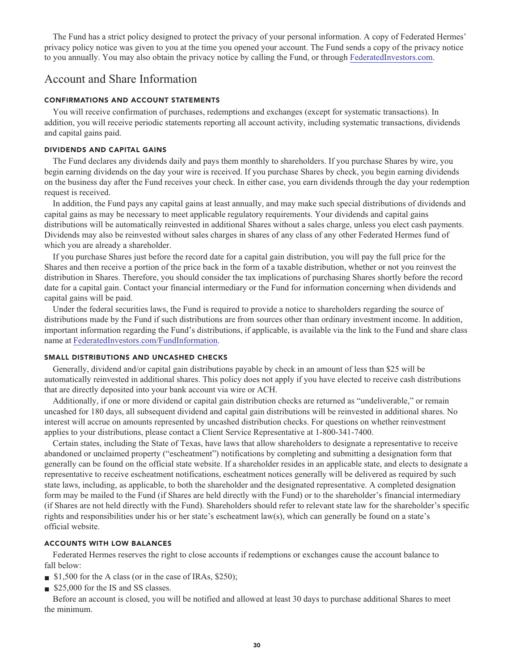**The Fund has a strict policy designed to protect the privacy of your personal information. A copy of Federated Hermes' privacy policy notice was given to you at the time you opened your account. The Fund sends a copy of the privacy notice to you annually. You may also obtain the privacy notice by calling the Fund, or through [FederatedInvestors.com.](https://www.federatedinvestors.com/home.do)**

# **Account and Share Information**

#### **CONFIRMATIONS AND ACCOUNT STATEMENTS**

**You will receive confirmation of purchases, redemptions and exchanges (except for systematic transactions). In addition, you will receive periodic statements reporting all account activity, including systematic transactions, dividends and capital gains paid.**

# **DIVIDENDS AND CAPITAL GAINS**

**The Fund declares any dividends daily and pays them monthly to shareholders. If you purchase Shares by wire, you begin earning dividends on the day your wire is received. If you purchase Shares by check, you begin earning dividends on the business day after the Fund receives your check. In either case, you earn dividends through the day your redemption request is received.**

**In addition, the Fund pays any capital gains at least annually, and may make such special distributions of dividends and capital gains as may be necessary to meet applicable regulatory requirements. Your dividends and capital gains distributions will be automatically reinvested in additional Shares without a sales charge, unless you elect cash payments. Dividends may also be reinvested without sales charges in shares of any class of any other Federated Hermes fund of which you are already a shareholder.**

**If you purchase Shares just before the record date for a capital gain distribution, you will pay the full price for the Shares and then receive a portion of the price back in the form of a taxable distribution, whether or not you reinvest the distribution in Shares. Therefore, you should consider the tax implications of purchasing Shares shortly before the record date for a capital gain. Contact your financial intermediary or the Fund for information concerning when dividends and capital gains will be paid.**

**Under the federal securities laws, the Fund is required to provide a notice to shareholders regarding the source of distributions made by the Fund if such distributions are from sources other than ordinary investment income. In addition, important information regarding the Fund's distributions, if applicable, is available via the link to the Fund and share class name at [FederatedInvestors.com/FundInformation.](https://www.federatedinvestors.com/product-info/prospectuses-and-regulatory-reports.do)**

### **SMALL DISTRIBUTIONS AND UNCASHED CHECKS**

**Generally, dividend and/or capital gain distributions payable by check in an amount of less than \$25 will be automatically reinvested in additional shares. This policy does not apply if you have elected to receive cash distributions that are directly deposited into your bank account via wire or ACH.**

**Additionally, if one or more dividend or capital gain distribution checks are returned as "undeliverable," or remain uncashed for 180 days, all subsequent dividend and capital gain distributions will be reinvested in additional shares. No interest will accrue on amounts represented by uncashed distribution checks. For questions on whether reinvestment applies to your distributions, please contact a Client Service Representative at 1-800-341-7400.**

**Certain states, including the State of Texas, have laws that allow shareholders to designate a representative to receive abandoned or unclaimed property ("escheatment") notifications by completing and submitting a designation form that generally can be found on the official state website. If a shareholder resides in an applicable state, and elects to designate a representative to receive escheatment notifications, escheatment notices generally will be delivered as required by such state laws, including, as applicable, to both the shareholder and the designated representative. A completed designation form may be mailed to the Fund (if Shares are held directly with the Fund) or to the shareholder's financial intermediary (if Shares are not held directly with the Fund). Shareholders should refer to relevant state law for the shareholder's specific rights and responsibilities under his or her state's escheatment law(s), which can generally be found on a state's official website.**

#### **ACCOUNTS WITH LOW BALANCES**

**Federated Hermes reserves the right to close accounts if redemptions or exchanges cause the account balance to fall below:**

- **■ \$1,500 for the A class (or in the case of IRAs, \$250);**
- **■ \$25,000 for the IS and SS classes.**

**Before an account is closed, you will be notified and allowed at least 30 days to purchase additional Shares to meet the minimum.**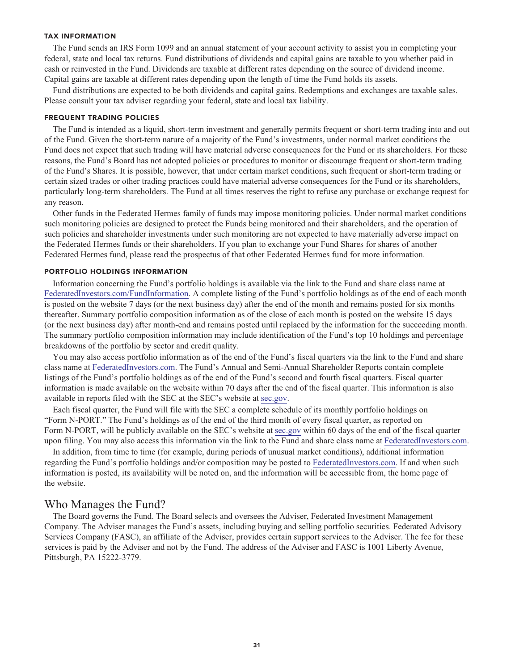#### **TAX INFORMATION**

**The Fund sends an IRS Form 1099 and an annual statement of your account activity to assist you in completing your federal, state and local tax returns. Fund distributions of dividends and capital gains are taxable to you whether paid in cash or reinvested in the Fund. Dividends are taxable at different rates depending on the source of dividend income. Capital gains are taxable at different rates depending upon the length of time the Fund holds its assets.**

**Fund distributions are expected to be both dividends and capital gains. Redemptions and exchanges are taxable sales. Please consult your tax adviser regarding your federal, state and local tax liability.**

#### **FREQUENT TRADING POLICIES**

**The Fund is intended as a liquid, short-term investment and generally permits frequent or short-term trading into and out of the Fund. Given the short-term nature of a majority of the Fund's investments, under normal market conditions the Fund does not expect that such trading will have material adverse consequences for the Fund or its shareholders. For these reasons, the Fund's Board has not adopted policies or procedures to monitor or discourage frequent or short-term trading of the Fund's Shares. It is possible, however, that under certain market conditions, such frequent or short-term trading or certain sized trades or other trading practices could have material adverse consequences for the Fund or its shareholders, particularly long-term shareholders. The Fund at all times reserves the right to refuse any purchase or exchange request for any reason.**

**Other funds in the Federated Hermes family of funds may impose monitoring policies. Under normal market conditions such monitoring policies are designed to protect the Funds being monitored and their shareholders, and the operation of such policies and shareholder investments under such monitoring are not expected to have materially adverse impact on the Federated Hermes funds or their shareholders. If you plan to exchange your Fund Shares for shares of another Federated Hermes fund, please read the prospectus of that other Federated Hermes fund for more information.**

#### **PORTFOLIO HOLDINGS INFORMATION**

**Information concerning the Fund's portfolio holdings is available via the link to the Fund and share class name at [FederatedInvestors.com/FundInformation.](https://www.federatedinvestors.com/product-info/prospectuses-and-regulatory-reports.do) A complete listing of the Fund's portfolio holdings as of the end of each month is posted on the website 7 days (or the next business day) after the end of the month and remains posted for six months thereafter. Summary portfolio composition information as of the close of each month is posted on the website 15 days (or the next business day) after month-end and remains posted until replaced by the information for the succeeding month. The summary portfolio composition information may include identification of the Fund's top 10 holdings and percentage breakdowns of the portfolio by sector and credit quality.**

**You may also access portfolio information as of the end of the Fund's fiscal quarters via the link to the Fund and share class name at [FederatedInvestors.com.](https://www.federatedinvestors.com/home.do) The Fund's Annual and Semi-Annual Shareholder Reports contain complete listings of the Fund's portfolio holdings as of the end of the Fund's second and fourth fiscal quarters. Fiscal quarter information is made available on the website within 70 days after the end of the fiscal quarter. This information is also available in reports filed with the SEC at the SEC's website at [sec.gov.](https://www.sec.gov/)**

**Each fiscal quarter, the Fund will file with the SEC a complete schedule of its monthly portfolio holdings on "Form N-PORT." The Fund's holdings as of the end of the third month of every fiscal quarter, as reported on Form N-PORT, will be publicly available on the SEC's website at [sec.gov](https://www.sec.gov/) within 60 days of the end of the fiscal quarter upon filing. You may also access this information via the link to the Fund and share class name at [FederatedInvestors.com.](https://www.federatedinvestors.com/home.do)**

**In addition, from time to time (for example, during periods of unusual market conditions), additional information regarding the Fund's portfolio holdings and/or composition may be posted to [FederatedInvestors.com.](https://www.federatedinvestors.com/home.do) If and when such information is posted, its availability will be noted on, and the information will be accessible from, the home page of the website.**

# **Who Manages the Fund?**

**The Board governs the Fund. The Board selects and oversees the Adviser, Federated Investment Management Company. The Adviser manages the Fund's assets, including buying and selling portfolio securities. Federated Advisory Services Company (FASC), an affiliate of the Adviser, provides certain support services to the Adviser. The fee for these services is paid by the Adviser and not by the Fund. The address of the Adviser and FASC is 1001 Liberty Avenue, Pittsburgh, PA 15222-3779.**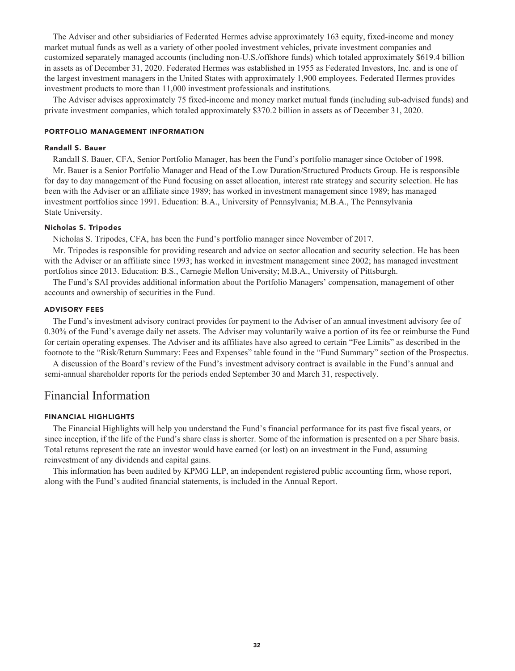**The Adviser and other subsidiaries of Federated Hermes advise approximately 163 equity, fixed-income and money market mutual funds as well as a variety of other pooled investment vehicles, private investment companies and customized separately managed accounts (including non-U.S./offshore funds) which totaled approximately \$619.4 billion in assets as of December 31, 2020. Federated Hermes was established in 1955 as Federated Investors, Inc. and is one of the largest investment managers in the United States with approximately 1,900 employees. Federated Hermes provides investment products to more than 11,000 investment professionals and institutions.**

**The Adviser advises approximately 75 fixed-income and money market mutual funds (including sub-advised funds) and private investment companies, which totaled approximately \$370.2 billion in assets as of December 31, 2020.**

#### **PORTFOLIO MANAGEMENT INFORMATION**

#### **Randall S. Bauer**

**Randall S. Bauer, CFA, Senior Portfolio Manager, has been the Fund's portfolio manager since October of 1998.**

**Mr. Bauer is a Senior Portfolio Manager and Head of the Low Duration/Structured Products Group. He is responsible for day to day management of the Fund focusing on asset allocation, interest rate strategy and security selection. He has been with the Adviser or an affiliate since 1989; has worked in investment management since 1989; has managed investment portfolios since 1991. Education: B.A., University of Pennsylvania; M.B.A., The Pennsylvania State University.**

#### **Nicholas S. Tripodes**

**Nicholas S. Tripodes, CFA, has been the Fund's portfolio manager since November of 2017.**

**Mr. Tripodes is responsible for providing research and advice on sector allocation and security selection. He has been with the Adviser or an affiliate since 1993; has worked in investment management since 2002; has managed investment portfolios since 2013. Education: B.S., Carnegie Mellon University; M.B.A., University of Pittsburgh.**

**The Fund's SAI provides additional information about the Portfolio Managers' compensation, management of other accounts and ownership of securities in the Fund.**

#### **ADVISORY FEES**

**The Fund's investment advisory contract provides for payment to the Adviser of an annual investment advisory fee of 0.30% of the Fund's average daily net assets. The Adviser may voluntarily waive a portion of its fee or reimburse the Fund for certain operating expenses. The Adviser and its affiliates have also agreed to certain "Fee Limits" as described in the footnote to the "Risk/Return Summary: Fees and Expenses" table found in the "Fund Summary" section of the Prospectus.**

**A discussion of the Board's review of the Fund's investment advisory contract is available in the Fund's annual and semi-annual shareholder reports for the periods ended September 30 and March 31, respectively.**

# **Financial Information**

#### **FINANCIAL HIGHLIGHTS**

**The Financial Highlights will help you understand the Fund's financial performance for its past five fiscal years, or since inception, if the life of the Fund's share class is shorter. Some of the information is presented on a per Share basis. Total returns represent the rate an investor would have earned (or lost) on an investment in the Fund, assuming reinvestment of any dividends and capital gains.**

**This information has been audited by KPMG LLP, an independent registered public accounting firm, whose report, along with the Fund's audited financial statements, is included in the Annual Report.**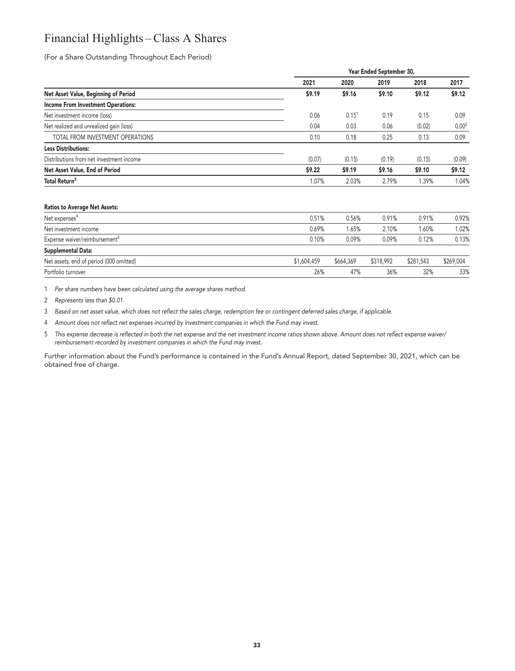# **Financial Highlights – Class A Shares**

**(For a Share Outstanding Throughout Each Period)**

|                                           | Year Ended September 30, |            |        |        |                   |  |
|-------------------------------------------|--------------------------|------------|--------|--------|-------------------|--|
|                                           | 2021                     | 2020       | 2019   | 2018   | 2017              |  |
| Net Asset Value, Beginning of Period      | \$9.19                   | \$9.16     | \$9.10 | \$9.12 | \$9.12            |  |
| <b>Income From Investment Operations:</b> |                          |            |        |        |                   |  |
| Net investment income (loss)              | 0.06                     | $0.15^{1}$ | 0.19   | 0.15   | 0.09              |  |
| Net realized and unrealized gain (loss)   | 0.04                     | 0.03       | 0.06   | (0.02) | 0.00 <sup>2</sup> |  |
| TOTAL FROM INVESTMENT OPERATIONS          | 0.10                     | 0.18       | 0.25   | 0.13   | 0.09              |  |
| <b>Less Distributions:</b>                |                          |            |        |        |                   |  |
| Distributions from net investment income  | (0.07)                   | (0.15)     | (0.19) | (0.15) | (0.09)            |  |
| Net Asset Value, End of Period            | \$9.22                   | \$9.19     | \$9.16 | \$9.10 | \$9.12            |  |
| Total Return <sup>3</sup>                 | 1.07%                    | 2.03%      | 2.79%  | 1.39%  | 1.04%             |  |
| <b>Ratios to Average Net Assets:</b>      |                          |            |        |        |                   |  |

| Net expenses <sup>4</sup>                 | 0.51%       | 0.56%     | 0.91%     | 0.91%     | 0.92%     |
|-------------------------------------------|-------------|-----------|-----------|-----------|-----------|
| Net investment income                     | 0.69%       | 1.65%     | 2.10%     | 1.60%     | 1.02%     |
| Expense waiver/reimbursement <sup>5</sup> | 0.10%       | 0.09%     | 0.09%     | 0.12%     | 0.13%     |
| Supplemental Data:                        |             |           |           |           |           |
| Net assets, end of period (000 omitted)   | \$1,604,459 | \$664,369 | \$318,992 | \$281,543 | \$269,004 |
| Portfolio turnover                        | 26%         | 47%       | 36%       | 32%       | 33%       |

**1 Per share numbers have been calculated using the average shares method.**

**2 Represents less than \$0.01.**

**3 Based on net asset value, which does not reflect the sales charge, redemption fee or contingent deferred sales charge, if applicable.**

**4 Amount does not reflect net expenses incurred by investment companies in which the Fund may invest.**

**5 This expense decrease is reflected in both the net expense and the net investment income ratios shown above. Amount does not reflect expense waiver/ reimbursement recorded by investment companies in which the Fund may invest.**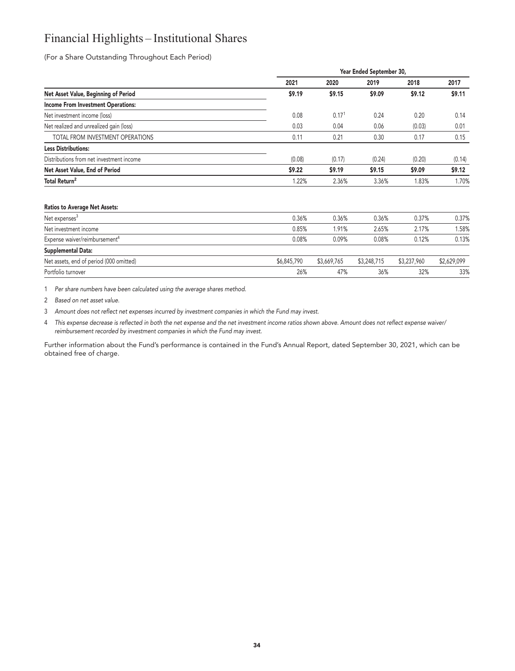# **Financial Highlights – Institutional Shares**

**(For a Share Outstanding Throughout Each Period)**

|                                           |        | Year Ended September 30, |        |        |        |  |  |  |  |
|-------------------------------------------|--------|--------------------------|--------|--------|--------|--|--|--|--|
|                                           | 2021   | 2020                     | 2019   | 2018   | 2017   |  |  |  |  |
| Net Asset Value, Beginning of Period      | \$9.19 | \$9.15                   | \$9.09 | \$9.12 | \$9.11 |  |  |  |  |
| <b>Income From Investment Operations:</b> |        |                          |        |        |        |  |  |  |  |
| Net investment income (loss)              | 0.08   | 0.17 <sup>1</sup>        | 0.24   | 0.20   | 0.14   |  |  |  |  |
| Net realized and unrealized gain (loss)   | 0.03   | 0.04                     | 0.06   | (0.03) | 0.01   |  |  |  |  |
| TOTAL FROM INVESTMENT OPERATIONS          | 0.11   | 0.21                     | 0.30   | 0.17   | 0.15   |  |  |  |  |
| <b>Less Distributions:</b>                |        |                          |        |        |        |  |  |  |  |
| Distributions from net investment income  | (0.08) | (0.17)                   | (0.24) | (0.20) | (0.14) |  |  |  |  |
| Net Asset Value, End of Period            | \$9.22 | \$9.19                   | \$9.15 | \$9.09 | \$9.12 |  |  |  |  |
| Total Return <sup>2</sup>                 | 1.22%  | 2.36%                    | 3.36%  | 1.83%  | 1.70%  |  |  |  |  |
| <b>Ratios to Average Net Assets:</b>      |        |                          |        |        |        |  |  |  |  |
| Net expenses <sup>3</sup>                 | 0.36%  | 0.36%                    | 0.36%  | 0.37%  | 0.37%  |  |  |  |  |
| Net investment income                     | 0.85%  | 1.91%                    | 2.65%  | 2.17%  | 1.58%  |  |  |  |  |
| Expense waiver/reimbursement <sup>4</sup> | 0.08%  | 0.09%                    | 0.08%  | 0.12%  | 0.13%  |  |  |  |  |

| <b>Supplemental Data:</b>               |             |             |             |             |             |
|-----------------------------------------|-------------|-------------|-------------|-------------|-------------|
| Net assets, end of period (000 omitted) | \$6,845,790 | \$3,669,765 | \$3,248,715 | \$3,237,960 | \$2,629,099 |
| Portfolio turnover                      | 26%         | 47%         | 36%         | 32%         | 33%         |

**1 Per share numbers have been calculated using the average shares method.**

**2 Based on net asset value.**

**3 Amount does not reflect net expenses incurred by investment companies in which the Fund may invest.**

**4 This expense decrease is reflected in both the net expense and the net investment income ratios shown above. Amount does not reflect expense waiver/ reimbursement recorded by investment companies in which the Fund may invest.**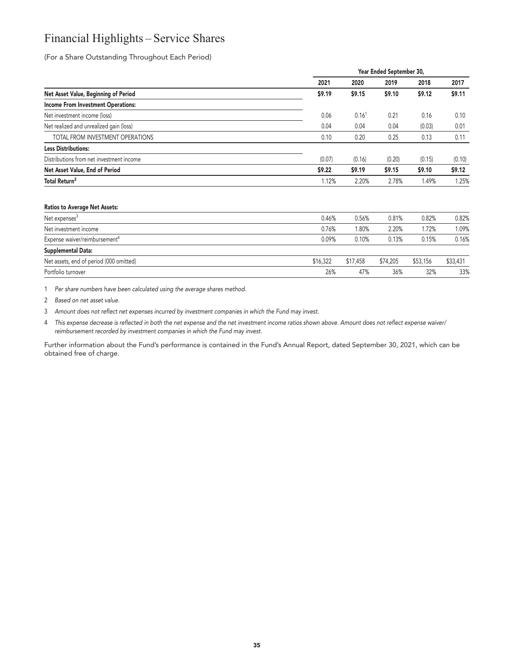# **Financial Highlights – Service Shares**

**(For a Share Outstanding Throughout Each Period)**

|                                           | Year Ended September 30, |                   |        |        |        |  |
|-------------------------------------------|--------------------------|-------------------|--------|--------|--------|--|
|                                           | 2021                     | 2020              | 2019   | 2018   | 2017   |  |
| Net Asset Value, Beginning of Period      | \$9.19                   | \$9.15            | \$9.10 | \$9.12 | \$9.11 |  |
| <b>Income From Investment Operations:</b> |                          |                   |        |        |        |  |
| Net investment income (loss)              | 0.06                     | 0.16 <sup>1</sup> | 0.21   | 0.16   | 0.10   |  |
| Net realized and unrealized gain (loss)   | 0.04                     | 0.04              | 0.04   | (0.03) | 0.01   |  |
| TOTAL FROM INVESTMENT OPERATIONS          | 0.10                     | 0.20              | 0.25   | 0.13   | 0.11   |  |
| <b>Less Distributions:</b>                |                          |                   |        |        |        |  |
| Distributions from net investment income  | (0.07)                   | (0.16)            | (0.20) | (0.15) | (0.10) |  |
| Net Asset Value, End of Period            | \$9.22                   | \$9.19            | \$9.15 | \$9.10 | \$9.12 |  |
| Total Return <sup>2</sup>                 | 1.12%                    | 2.20%             | 2.78%  | 1.49%  | 1.25%  |  |

#### **Ratios to Average Net Assets:**

| Net expenses <sup>3</sup>                 | 0.46%    | 0.56%    | 0.81%    | 0.82%    | 0.82%    |
|-------------------------------------------|----------|----------|----------|----------|----------|
| Net investment income                     | 0.76%    | 1.80%    | 2.20%    | 1.72%    | 1.09%    |
| Expense waiver/reimbursement <sup>4</sup> | 0.09%    | 0.10%    | 0.13%    | 0.15%    | 0.16%    |
| Supplemental Data:                        |          |          |          |          |          |
| Net assets, end of period (000 omitted)   | \$16,322 | \$17,458 | \$74,205 | \$53,156 | \$33,431 |
| Portfolio turnover                        | 26%      | 47%      | 36%      | 32%      | 33%      |

**1 Per share numbers have been calculated using the average shares method.**

**2 Based on net asset value.**

**3 Amount does not reflect net expenses incurred by investment companies in which the Fund may invest.**

**4 This expense decrease is reflected in both the net expense and the net investment income ratios shown above. Amount does not reflect expense waiver/ reimbursement recorded by investment companies in which the Fund may invest.**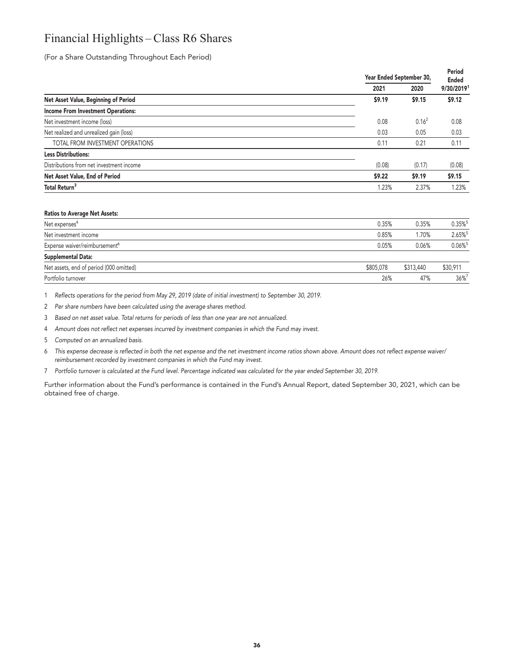# **Financial Highlights – Class R6 Shares**

**(For a Share Outstanding Throughout Each Period)**

|                                           |        | Year Ended September 30, |            |  |
|-------------------------------------------|--------|--------------------------|------------|--|
|                                           | 2021   | 2020                     | 9/30/20191 |  |
| Net Asset Value, Beginning of Period      | \$9.19 | \$9.15                   | \$9.12     |  |
| <b>Income From Investment Operations:</b> |        |                          |            |  |
| Net investment income (loss)              | 0.08   | $0.16^2$                 | 0.08       |  |
| Net realized and unrealized gain (loss)   | 0.03   | 0.05                     | 0.03       |  |
| TOTAL FROM INVESTMENT OPERATIONS          | 0.11   | 0.21                     | 0.11       |  |
| <b>Less Distributions:</b>                |        |                          |            |  |
| Distributions from net investment income  | (0.08) | (0.17)                   | (0.08)     |  |
| Net Asset Value, End of Period            | \$9.22 | \$9.19                   | \$9.15     |  |
| Total Return <sup>3</sup>                 | 1.23%  | 2.37%                    | 1.23%      |  |

#### **Ratios to Average Net Assets:**

| Net expenses <sup>4</sup>                 | 0.35%     | 0.35%     | $0.35\%$ <sup>5</sup> |
|-------------------------------------------|-----------|-----------|-----------------------|
| Net investment income                     | 0.85%     | 1.70%     | 2.65%                 |
| Expense waiver/reimbursement <sup>6</sup> | 0.05%     | 0.06%     | $0.06\%$ <sup>5</sup> |
| Supplemental Data:                        |           |           |                       |
| Net assets, end of period (000 omitted)   | \$805,078 | \$313,440 | \$30,911              |
| Portfolio turnover                        | 26%       | 47%       | 36%7                  |

**1 Reflects operations for the period from May 29, 2019 (date of initial investment) to September 30, 2019.**

**2 Per share numbers have been calculated using the average shares method.**

**3 Based on net asset value. Total returns for periods of less than one year are not annualized.**

**4 Amount does not reflect net expenses incurred by investment companies in which the Fund may invest.**

**5 Computed on an annualized basis.**

**6 This expense decrease is reflected in both the net expense and the net investment income ratios shown above. Amount does not reflect expense waiver/ reimbursement recorded by investment companies in which the Fund may invest.**

**7 Portfolio turnover is calculated at the Fund level. Percentage indicated was calculated for the year ended September 30, 2019.**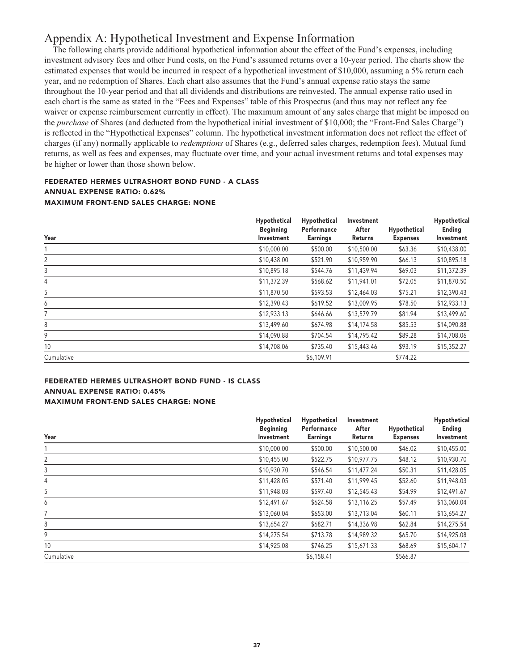# **Appendix A: Hypothetical Investment and Expense Information**

**The following charts provide additional hypothetical information about the effect of the Fund's expenses, including investment advisory fees and other Fund costs, on the Fund's assumed returns over a 10-year period. The charts show the estimated expenses that would be incurred in respect of a hypothetical investment of \$10,000, assuming a 5% return each year, and no redemption of Shares. Each chart also assumes that the Fund's annual expense ratio stays the same throughout the 10-year period and that all dividends and distributions are reinvested. The annual expense ratio used in each chart is the same as stated in the "Fees and Expenses" table of this Prospectus (and thus may not reflect any fee waiver or expense reimbursement currently in effect). The maximum amount of any sales charge that might be imposed on the** *purchase* **of Shares (and deducted from the hypothetical initial investment of \$10,000; the "Front-End Sales Charge") is reflected in the "Hypothetical Expenses" column. The hypothetical investment information does not reflect the effect of charges (if any) normally applicable to** *redemptions* **of Shares (e.g., deferred sales charges, redemption fees). Mutual fund returns, as well as fees and expenses, may fluctuate over time, and your actual investment returns and total expenses may be higher or lower than those shown below.**

# **FEDERATED HERMES ULTRASHORT BOND FUND - A CLASS ANNUAL EXPENSE RATIO: 0.62% MAXIMUM FRONT-END SALES CHARGE: NONE**

| Year       | Hypothetical<br><b>Beginning</b><br>Investment | Hypothetical<br>Performance<br><b>Earnings</b> | Investment<br>After<br>Returns | Hypothetical<br><b>Expenses</b> | Hypothetical<br>Ending<br>Investment |
|------------|------------------------------------------------|------------------------------------------------|--------------------------------|---------------------------------|--------------------------------------|
|            | \$10,000.00                                    | \$500.00                                       | \$10,500.00                    | \$63.36                         | \$10,438.00                          |
| 2          | \$10,438.00                                    | \$521.90                                       | \$10,959.90                    | \$66.13                         | \$10,895.18                          |
| 3          | \$10,895.18                                    | \$544.76                                       | \$11,439.94                    | \$69.03                         | \$11,372.39                          |
| 4          | \$11,372.39                                    | \$568.62                                       | \$11,941.01                    | \$72.05                         | \$11,870.50                          |
| 5          | \$11,870.50                                    | \$593.53                                       | \$12,464.03                    | \$75.21                         | \$12,390.43                          |
| 6          | \$12,390.43                                    | \$619.52                                       | \$13,009.95                    | \$78.50                         | \$12,933.13                          |
| 7          | \$12,933.13                                    | \$646.66                                       | \$13,579.79                    | \$81.94                         | \$13,499.60                          |
| 8          | \$13,499.60                                    | \$674.98                                       | \$14,174.58                    | \$85.53                         | \$14,090.88                          |
| 9          | \$14,090.88                                    | \$704.54                                       | \$14,795.42                    | \$89.28                         | \$14,708.06                          |
| 10         | \$14,708.06                                    | \$735.40                                       | \$15,443.46                    | \$93.19                         | \$15,352.27                          |
| Cumulative |                                                | \$6,109.91                                     |                                | \$774.22                        |                                      |

### **FEDERATED HERMES ULTRASHORT BOND FUND - IS CLASS ANNUAL EXPENSE RATIO: 0.45% MAXIMUM FRONT-END SALES CHARGE: NONE**

| Year       | Hypothetical<br><b>Beginning</b><br>Investment | Hypothetical<br>Performance<br><b>Earnings</b> | Investment<br>After<br>Returns | Hypothetical<br><b>Expenses</b> | Hypothetical<br>Ending<br>Investment |
|------------|------------------------------------------------|------------------------------------------------|--------------------------------|---------------------------------|--------------------------------------|
|            | \$10,000.00                                    | \$500.00                                       | \$10,500.00                    | \$46.02                         | \$10,455.00                          |
| 2          | \$10,455.00                                    | \$522.75                                       | \$10,977.75                    | \$48.12                         | \$10,930.70                          |
| 3          | \$10,930.70                                    | \$546.54                                       | \$11,477.24                    | \$50.31                         | \$11,428.05                          |
| 4          | \$11,428.05                                    | \$571.40                                       | \$11,999.45                    | \$52.60                         | \$11,948.03                          |
| 5          | \$11,948.03                                    | \$597.40                                       | \$12,545.43                    | \$54.99                         | \$12,491.67                          |
| 6          | \$12,491.67                                    | \$624.58                                       | \$13,116.25                    | \$57.49                         | \$13,060.04                          |
| 7          | \$13,060.04                                    | \$653.00                                       | \$13,713.04                    | \$60.11                         | \$13,654.27                          |
| 8          | \$13,654.27                                    | \$682.71                                       | \$14,336.98                    | \$62.84                         | \$14,275.54                          |
| 9          | \$14,275.54                                    | \$713.78                                       | \$14,989.32                    | \$65.70                         | \$14,925.08                          |
| 10         | \$14,925.08                                    | \$746.25                                       | \$15,671.33                    | \$68.69                         | \$15,604.17                          |
| Cumulative |                                                | \$6,158.41                                     |                                | \$566.87                        |                                      |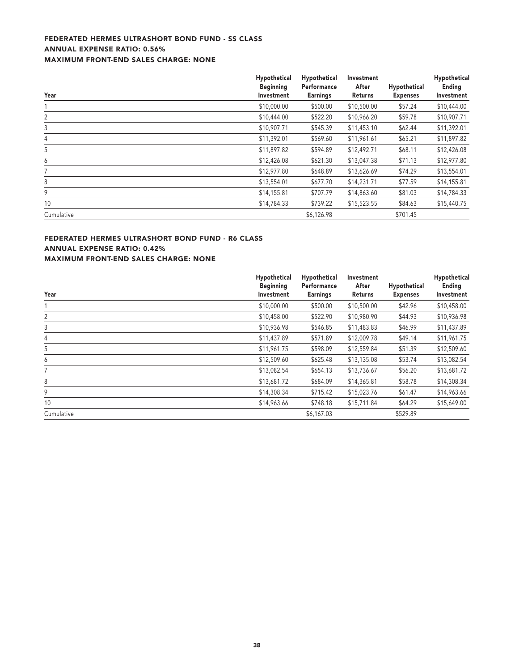# **FEDERATED HERMES ULTRASHORT BOND FUND - SS CLASS ANNUAL EXPENSE RATIO: 0.56% MAXIMUM FRONT-END SALES CHARGE: NONE**

| Year           | Hypothetical<br><b>Beginning</b> | Hypothetical<br>Performance | Investment<br>After<br>Returns | Hypothetical<br><b>Expenses</b> | Hypothetical<br>Ending<br>Investment |
|----------------|----------------------------------|-----------------------------|--------------------------------|---------------------------------|--------------------------------------|
|                | Investment                       | <b>Earnings</b>             |                                |                                 |                                      |
|                | \$10,000.00                      | \$500.00                    | \$10,500.00                    | \$57.24                         | \$10,444.00                          |
| $\overline{2}$ | \$10,444.00                      | \$522.20                    | \$10,966.20                    | \$59.78                         | \$10,907.71                          |
| 3              | \$10,907.71                      | \$545.39                    | \$11,453.10                    | \$62.44                         | \$11,392.01                          |
| 4              | \$11,392.01                      | \$569.60                    | \$11,961.61                    | \$65.21                         | \$11,897.82                          |
| 5              | \$11,897.82                      | \$594.89                    | \$12,492.71                    | \$68.11                         | \$12,426.08                          |
| 6              | \$12,426.08                      | \$621.30                    | \$13,047.38                    | \$71.13                         | \$12,977.80                          |
|                | \$12,977.80                      | \$648.89                    | \$13,626.69                    | \$74.29                         | \$13,554.01                          |
| 8              | \$13,554.01                      | \$677.70                    | \$14,231.71                    | \$77.59                         | \$14,155.81                          |
| 9              | \$14,155.81                      | \$707.79                    | \$14,863.60                    | \$81.03                         | \$14,784.33                          |
| 10             | \$14,784.33                      | \$739.22                    | \$15,523.55                    | \$84.63                         | \$15,440.75                          |
| Cumulative     |                                  | \$6,126.98                  |                                | \$701.45                        |                                      |

# **FEDERATED HERMES ULTRASHORT BOND FUND - R6 CLASS ANNUAL EXPENSE RATIO: 0.42% MAXIMUM FRONT-END SALES CHARGE: NONE**

| Year       | Hypothetical | Hypothetical<br>Performance<br><b>Beginning</b><br><b>Earnings</b><br>Investment | Investment<br>After<br>Returns | Hypothetical<br><b>Expenses</b> | Hypothetical<br>Ending<br>Investment |
|------------|--------------|----------------------------------------------------------------------------------|--------------------------------|---------------------------------|--------------------------------------|
|            |              |                                                                                  |                                |                                 |                                      |
|            | \$10,000.00  | \$500.00                                                                         | \$10,500.00                    | \$42.96                         | \$10,458.00                          |
| 2          | \$10,458.00  | \$522.90                                                                         | \$10,980.90                    | \$44.93                         | \$10,936.98                          |
| 3          | \$10,936.98  | \$546.85                                                                         | \$11,483.83                    | \$46.99                         | \$11,437.89                          |
| 4          | \$11,437.89  | \$571.89                                                                         | \$12,009.78                    | \$49.14                         | \$11,961.75                          |
| 5          | \$11,961.75  | \$598.09                                                                         | \$12,559.84                    | \$51.39                         | \$12,509.60                          |
| 6          | \$12,509.60  | \$625.48                                                                         | \$13,135.08                    | \$53.74                         | \$13,082.54                          |
|            | \$13,082.54  | \$654.13                                                                         | \$13,736.67                    | \$56.20                         | \$13,681.72                          |
| 8          | \$13,681.72  | \$684.09                                                                         | \$14,365.81                    | \$58.78                         | \$14,308.34                          |
| 9          | \$14,308.34  | \$715.42                                                                         | \$15,023.76                    | \$61.47                         | \$14,963.66                          |
| 10         | \$14,963.66  | \$748.18                                                                         | \$15,711.84                    | \$64.29                         | \$15,649.00                          |
| Cumulative |              | \$6,167.03                                                                       |                                | \$529.89                        |                                      |